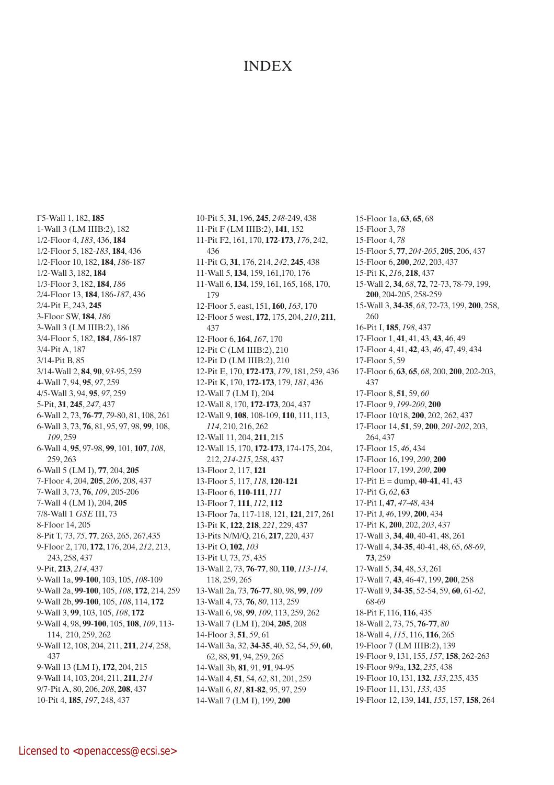## **INDEX**

Γ5-Wall 1, 182, **185** 1-Wall 3 (LM IIIB:2), 182 1/2-Floor 4, *183*, 436, **184** 1/2-Floor 5, 182-*183*, **184**, 436 1/2-Floor 10, 182, **184**, *186*-187 1/2-Wall 3, 182, **184** 1/3-Floor 3, 182, **184**, *186* 2/4-Floor 13, **184**, 186-*187*, 436 2/4-Pit E, 243, **245** 3-Floor SW, **184**, *186* 3-Wall 3 (LM IIIB:2), 186 3/4-Floor 5, 182, **184**, *186*-187 3/4-Pit A, 187 3/14-Pit B, 85 3/14-Wall 2, **84**, **90**, *93-*95, 259 4-Wall 7, 94, **95**, *97*, 259 4/5-Wall 3, 94, **95**, *97*, 259 5-Pit, **31**, **245**, *247*, 437 6-Wall 2, 73, **76**-**77**, *79*-80, 81, 108, 261 6-Wall 3, 73, **76**, 81, 95, 97, 98, **99**, 108, *109*, 259 6-Wall 4, **95**, 97-98, **99**, 101, **107**, *108*, 259, 263 6-Wall 5 (LM I), **77**, 204, **205** 7-Floor 4, 204, **205**, *206*, 208, 437 7-Wall 3, 73, **76**, *109*, 205-206 7-Wall 4 (LM I), 204, **205** 7/8-Wall 1 *GSE* III, 73 8-Floor 14, 205 8-Pit T, 73, *75*, **77**, 263, 265, 267,435 9-Floor 2, 170, **172**, 176, 204, *212*, 213, 243, 258, 437 9-Pit, **213**, *214*, 437 9-Wall 1a, **99**-**100**, 103, 105, *108*-109 9-Wall 2a, **99**-**100**, 105, *108*, **172**, 214, 259 9-Wall 2b, **99**-**100**, 105, *108*, 114, **172** 9-Wall 3, **99**, 103, 105, *108*, **172** 9-Wall 4, 98, **99**-**100**, 105, **108**, *109*, 113- 114, 210, 259, 262 9-Wall 12, 108, 204, 211, **211**, *214*, 258, 437 9-Wall 13 (LM I), **172**, 204, 215 9-Wall 14, 103, 204, 211, **211**, *214* 9/7-Pit A, 80, 206, *208*, **208**, 437 10-Pit 4, **185**, *197*, 248, 437

10-Pit 5, **31**, 196, **245**, *248*-249, 438 11-Pit F (LM IIIB:2), **141**, 152 11-Pit F2, 161, 170, **172**-**173**, *176*, 242, 436 11-Pit G, **31**, 176, 214, *242*, **245**, 438 11-Wall 5, **134**, 159, 161,170, 176 11-Wall 6, **134**, 159, 161, 165, 168, 170, 179 12-Floor 5, east, 151, **160**, *163*, 170 12-Floor 5 west, **172**, 175, 204, *210*, **211**, 437 12-Floor 6, **164**, *167*, 170 12-Pit C (LM IIIB:2), 210 12-Pit D (LM IIIB:2), 210 12-Pit E, 170, **172**-**173**, *179*, 181, 259, 436 12-Pit K, 170, **172**-**173**, 179, *181*, 436 12-Wall 7 (LM I), 204 12-Wall 8, 170, **172**-**173**, 204, 437 12-Wall 9, **108**, 108-109, **110**, 111, 113, *114*, 210, 216, 262 12-Wall 11, 204, **211**, 215 12-Wall 15, 170, **172**-**173**, 174-175, 204, 212, *214-215*, 258, 437 13-Floor 2, 117, **121** 13-Floor 5, 117, *118*, **120**-**121** 13-Floor 6, **110**-**111**, *111* 13-Floor 7, **111**, *112*, **112** 13-Floor 7a, 117-118, 121, **121**, 217, 261 13-Pit K, **122**, **218**, *221*, 229, 437 13-Pits N/M/Q, 216, **217**, 220, 437 13-Pit O, **102**, *103* 13-Pit U, 73, *75*, 435 13-Wall 2, 73, **76**-**77**, 80, **110**, *113-114*, 118, 259, 265 13-Wall 2a, 73, **76**-**77**, 80, 98, **99**, *109* 13-Wall 4, 73, **76**, *80*, 113, 259 13-Wall 6, 98, **99**, *109*, 113, 259, 262 13-Wall 7 (LM I), 204, **205**, 208 14-Floor 3, **51**, *59*, 61 14-Wall 3a, 32, **34**-**35**, 40, 52, 54, 59, **60**, 62, 88, **91**, 94, 259, 265 14-Wall 3b, **81**, 91, **91**, 94-95 14-Wall 4, **51**, 54, *62*, 81, 201, 259 14-Wall 6, *81*, **81**-**82**, 95, 97, 259 14-Wall 7 (LM I), 199, **200**

15-Floor 1a, **63**, **65**, 68 15-Floor 3, *78* 15-Floor 4, *78* 15-Floor 5, **77**, *204-205*, **205**, 206, 437 15-Floor 6, **200**, *202*, 203, 437 15-Pit K, *216*, **218**, 437 15-Wall 2, **34**, *68*, **72**, 72-73, 78-79, 199, **200**, 204-205, 258-259 15-Wall 3, **34**-**35**, *68*, 72-73, 199, **200**, 258, 260 16-Pit I, **185**, *198*, 437 17-Floor 1, **41**, 41, 43, **43**, 46, 49 17-Floor 4, 41, **42**, 43, *46*, 47, 49, 434 17-Floor 5, 59 17-Floor 6, **63**, **65**, *68*, 200, **200**, 202-203, 437 17-Floor 8, **51**, 59, *60* 17-Floor 9, *199-200*, **200** 17-Floor 10/18, **200**, 202, 262, 437 17-Floor 14, **51**, 59, **200**, *201-202*, 203, 264, 437 17-Floor 15, *46*, 434 17-Floor 16, 199, *200*, **200** 17-Floor 17, 199, *200*, **200**  $17-Pit E = \text{dump}, 40-41, 41, 43$ 17-Pit G, *62*, **63** 17-Pit I, **47**, *47-48*, 434 17-Pit J, *46*, 199, **200**, 434 17-Pit K, **200**, 202, *203*, 437 17-Wall 3, **34**, **40**, 40-41, 48, 261 17-Wall 4, **34**-**35**, 40-41, 48, 65, *68-69*, **73**, 259 17-Wall 5, **34**, 48, *53*, 261 17-Wall 7, **43**, 46-47, 199, **200**, 258 17-Wall 9, **34**-**35**, 52-54, 59, **60**, 61-*62*, 68-69 18-Pit F, 116, **116**, 435 18-Wall 2, 73, 75, **76**-**77**, *80* 18-Wall 4, *115*, 116, **116**, 265 19-Floor 7 (LM IIIB:2), 139 19-Floor 9, 131, 155, *157*, **158**, 262-263 19-Floor 9/9a, **132**, *235*, 438 19-Floor 10, 131, **132**, *133*, 235, 435 19-Floor 11, 131, *133*, 435 19-Floor 12, 139, **141**, *155*, 157, **158**, 264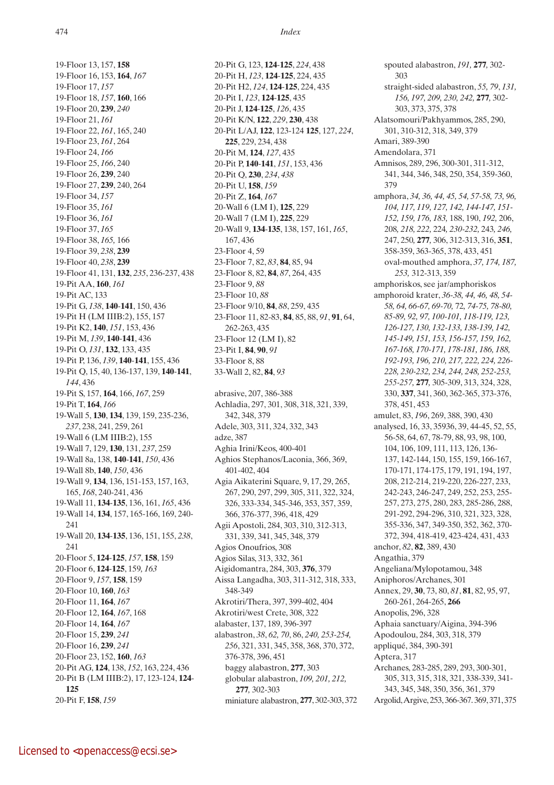19-Floor 13, 157, **158** 19-Floor 16, 153, **164**, *167* 19-Floor 17, *157* 19-Floor 18, *157*, **160**, 166 19-Floor 20, **239**, *240* 19-Floor 21, *161* 19-Floor 22, *161*, 165, 240 19-Floor 23, *161*, 264 19-Floor 24, *166* 19-Floor 25, *166*, 240 19-Floor 26, **239**, 240 19-Floor 27, **239**, 240, 264 19-Floor 34, *157* 19-Floor 35, *161* 19-Floor 36, *161* 19-Floor 37, *165* 19-Floor 38, *165,* 166 19-Floor 39, *238*, **239** 19-Floor 40, *238*, **239** 19-Floor 41, 131, **132**, *235*, 236-237, 438 19-Pit AA, **160**, *161* 19-Pit AC, 133 19-Pit G, *138*, **140**-**141**, 150, 436 19-Pit H (LM IIIB:2), 155, 157 19-Pit K2, **140**, *151*, 153, 436 19-Pit M, *139*, **140**-**141**, 436 19-Pit O, *131*, **132**, 133, 435 19-Pit P, 136, *139*, **140**-**141**, 155, 436 19-Pit Q, 15, 40, 136-137, 139, **140**-**141**, *144*, 436 19-Pit S, 157, **164**, 166, *167*, 259 19-Pit T, **164**, *166* 19-Wall 5, **130**, **134**, 139, 159, 235-236, *237*, 238, 241, 259, 261 19-Wall 6 (LM IIIB:2), 155 19-Wall 7, 129, **130**, 131, *237*, 259 19-Wall 8a, 138, **140**-**141**, *150*, 436 19-Wall 8b, **140**, *150*, 436 19-Wall 9, **134**, 136, 151-153, 157, 163, 165, *168*, 240-241, 436 19-Wall 11, **134**-**135**, 136, 161, *165*, 436 19-Wall 14, **134**, 157, 165-166, 169, 240- 241 19-Wall 20, **134**-**135**, 136, 151, 155, *238*, 241 20-Floor 5, **124**-**125**, *157*, **158**, 159 20-Floor 6, **124**-**125**, 159*, 163* 20-Floor 9, *157*, **158**, 159 20-Floor 10, **160**, *163* 20-Floor 11, **164**, *167* 20-Floor 12, **164**, *167*, 168 20-Floor 14, **164**, *167* 20-Floor 15, **239**, *241* 20-Floor 16, **239**, *241* 20-Floor 23, 152, **160**, *163* 20-Pit AG, **124**, 138, *152*, 163, 224, 436 20-Pit B (LM IIIB:2), 17, 123-124, **124**- **125** 20-Pit F, **158**, *159*

20-Pit G, 123, **124**-**125**, *224*, 438 20-Pit H, *123*, **124**-**125**, 224, 435 20-Pit H2, *124*, **124**-**125**, 224, 435 20-Pit I, *123*, **124**-**125**, 435 20-Pit J, **124**-**125**, *126*, 435 20-Pit K/N, **122**, *229*, **230**, 438 20-Pit L/AJ, **122**, 123-124 **125**, 127, *224*, **225**, 229, 234, 438 20-Pit M, **124**, *127*, 435 20-Pit P, **140**-**141**, *151*, 153, 436 20-Pit Q, **230**, *234*, *438* 20-Pit U, **158**, *159* 20-Pit Z, **164**, *167* 20-Wall 6 (LM I), **125**, 229 20-Wall 7 (LM I), **225**, 229 20-Wall 9, **134**-**135**, 138, 157, 161, *165*, 167, 436 23-Floor 4, 59 23-Floor 7, 82, *83*, **84**, 85, 94 23-Floor 8, 82, **84**, *87*, 264, 435 23-Floor 9, *88* 23-Floor 10, *88* 23-Floor 9/10, **84**, *88*, 259, 435 23-Floor 11, 82-83, **84**, 85, 88, *91*, **91**, 64, 262-263, 435 23-Floor 12 (LM I), 82 23-Pit I, **84**, **90**, *91* 33-Floor 8, 88 33-Wall 2, 82, **84**, *93* abrasive, 207, 386-388 Achladia, 297, 301, 308, 318, 321, 339, 342, 348, 379 Adele, 303, 311, 324, 332, 343 adze, 387 Aghia Irini/Keos, 400-401 Aghios Stephanos/Laconia, 366, 369, 401-402, 404 Agia Aikaterini Square, 9, 17, 29, 265, 267, 290, 297, 299, 305, 311, 322, 324, 326, 333-334, 345-346, 353, 357, 359, 366, 376-377, 396, 418, 429 Agii Apostoli, 284, 303, 310, 312-313, 331, 339, 341, 345, 348, 379 Agios Onoufrios, 308 Agios Silas, 313, 332, 361 Aigidomantra, 284, 303, **376**, 379 Aissa Langadha, 303, 311-312, 318, 333, 348-349 Akrotiri/Thera, 397, 399-402, 404

Akrotiri/west Crete, 308, 322 alabaster, 137, 189, 396-397

376-378, 396, 451

**277***,* 302-303

alabastron, *38*, *62, 70*, 86, *240, 253-254, 256*, 321, 331, 345, 358, 368, 370, 372,

miniature alabastron, **277**, 302-303, 372

baggy alabastron, **277**, 303 globular alabastron, *109, 201, 212,* 

spouted alabastron, *191,* **277***,* 302- 303 straight-sided alabastron, *55, 79*, *131, 156, 197, 209, 230, 242,* **277***,* 302- 303, 373, 375, 378 Alatsomouri/Pakhyammos, 285, 290, 301, 310-312, 318, 349, 379 Amari, 389-390 Amendolara, 371 Amnisos, 289, 296, 300-301, 311-312, 341, 344, 346, 348, 250, 354, 359-360, 379 amphora, *34, 36, 44, 45, 54, 57-58, 73, 96, 104, 117, 119, 127, 142, 144-147, 151- 152, 159, 176, 183,* 188, 190, *192,* 206, 208*, 218, 222,* 224*, 230-232,* 243*, 246,*  247, 250*,* **277***,* 306, 312-313, 316, **351**, 358-359, 363-365, 378, 433, 451 oval-mouthed amphora, *37, 174, 187, 253,* 312-313, 359 amphoriskos, see jar/amphoriskos amphoroid krater, *36-38, 44, 46, 48, 54- 58, 64, 66-67, 69-70,* 72*, 74-75, 78-80, 85-89, 92, 97, 100-101, 118-119, 123, 126-127, 130, 132-133, 138-139, 142, 145-149, 151, 153, 156-157, 159, 162, 167-168, 170-171, 178-181, 186, 188, 192-193, 196, 210, 217, 222, 224, 226- 228, 230-232, 234, 244, 248, 252-253, 255-257,* **277***,* 305-309, 313, 324, 328, 330, **337**, 341, 360, 362-365, 373-376, 378, 451, 453 amulet, 83, *196*, 269, 388, 390, 430 analysed, 16, 33, 35936, 39, 44-45, 52, 55, 56-58, 64, 67, 78-79, 88, 93, 98, 100, 104, 106, 109, 111, 113, 126, 136- 137, 142-144, 150, 155, 159, 166-167, 170-171, 174-175, 179, 191, 194, 197, 208, 212-214, 219-220, 226-227, 233, 242-243, 246-247, 249, 252, 253, 255- 257, 273, 275, 280, 283, 285-286, 288, 291-292, 294-296, 310, 321, 323, 328, 355-336, 347, 349-350, 352, 362, 370- 372, 394, 418-419, 423-424, 431, 433 anchor, *82*, **82**, 389, 430 Angathia, 379 Angeliana/Mylopotamou, 348 Aniphoros/Archanes, 301 Annex, 29, **30**, 73, 80, *81*, **81**, 82, 95, 97, 260-261, 264-265, **266** Anopolis, 296, 328 Aphaia sanctuary/Aigina, 394-396 Apodoulou, 284, 303, 318, 379 appliqué, 384, 390-391 Aptera, 317 Archanes, 283-285, 289, 293, 300-301, 305, 313, 315, 318, 321, 338-339, 341- 343, 345, 348, 350, 356, 361, 379 Argolid, Argive, 253, 366-367. 369, 371, 375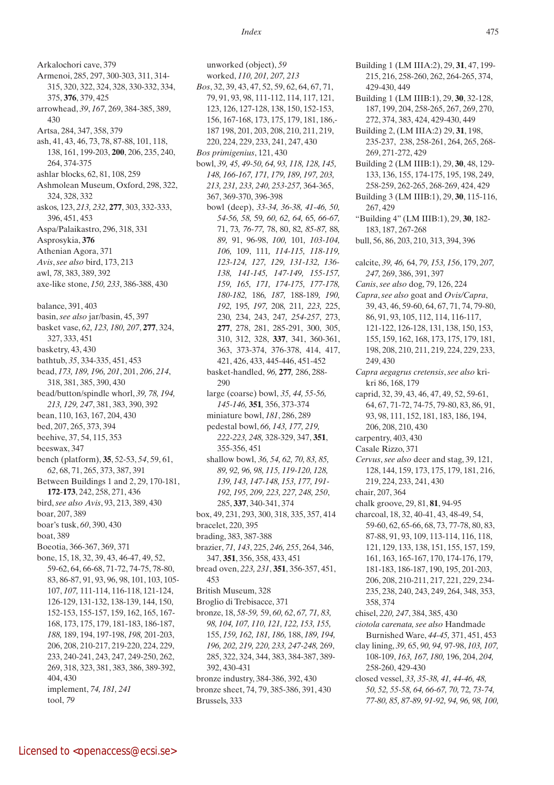315, 320, 322, 324, 328, 330-332, 334, 375, **376**, 379, 425 arrowhead, *39*, *167*, 269, 384-385, 389, 430 Artsa, 284, 347, 358, 379 ash, 41, 43, 46, 73, 78, 87-88, 101, 118, 138, 161, 199-203, **200**, 206, 235, 240, 264, 374-375 ashlar blocks, 62, 81, 108, 259 Ashmolean Museum, Oxford, 298, 322, 324, 328, 332 askos, 123, *213, 232*, **277**, 303, 332-333, 396, 451, 453 Aspa/Palaikastro, 296, 318, 331 Asprosykia, **376** Athenian Agora, 371 *Avis*, *see also* bird, 173, 213 awl, *78*, 383, 389, 392 axe-like stone, *150, 233*, 386-388, 430 balance, 391, 403 basin, *see also* jar/basin, 45, 397 basket vase, *62, 123, 180, 207*, **277**, 324, 327, 333, 451 basketry, 43, 430 bathtub, *35*, 334-335, 451, 453 bead, *173, 189, 196, 201*, 201, *206*, *214*, 318, 381, 385, 390, 430 bead/button/spindle whorl, *39, 78, 194, 213, 129, 247*, 381, 383, 390, 392 bean, 110, 163, 167, 204, 430 bed, 207, 265, 373, 394 beehive, 37, 54, 115, 353 beeswax, 347 bench (platform), **35**, 52-53, *54*, 59, 61, *62*, 68, 71, 265, 373, 387, 391 Between Buildings 1 and 2, 29, 170-181, **172**-**173**, 242, 258, 271, 436 bird, *see also Avis*, 93, 213, 389, 430 boar, 207, 389 boar's tusk, *60*, 390, 430 boat, 389 Boeotia, 366-367, 369, 371 bone, 15, 18, 32, 39, 43, 46-47, 49, 52, 59-62, 64, 66-68, 71-72, 74-75, 78-80, 83, 86-87, 91, 93, 96, 98, 101, 103, 105- 107, *107,* 111-114, 116-118, 121-124, 126-129, 131-132, 138-139, 144, 150, 152-153, 155-157, 159, 162, 165, 167- 168, 173, 175, 179, 181-183, 186-187, *188,* 189, 194, 197-198, *198,* 201-203, 206, 208, 210-217, 219-220, 224, 229, 233, 240-241, 243, 247, 249-250, 262, 269, 318, 323, 381, 383, 386, 389-392, 404, 430 implement, *74, 181, 241* tool, *79*

Arkalochori cave, 379

Armenoi, 285, 297, 300-303, 311, 314-

unworked (object), *59* worked, *110, 201, 207, 213 Bos*, 32, 39, 43, 47, 52, 59, 62, 64, 67, 71, 79, 91, 93, 98, 111-112, 114, 117, 121, 123, 126, 127-128, 138, 150, 152-153, 156, 167-168, 173, 175, 179, 181, 186,- 187 198, 201, 203, 208, 210, 211, 219, 220, 224, 229, 233, 241, 247, 430 *Bos primigenius*, 121, 430 bowl, *39, 45, 49-50, 64, 93, 118, 128, 145, 148, 166-167, 171, 179, 189, 197, 203, 213, 231, 233, 240, 253-257,* 364-365, 367, 369-370, 396-398 bowl (deep), *33-34, 36-38, 41-46, 50, 54-56, 58,* 59*, 60, 62, 64,* 65*, 66-67,*  71, 73*, 76-77,* 78, 80, 82*, 85-87,* 88*, 89,* 91, 96-98, *100,* 101*, 103-104, 106,* 109, 111*, 114-115, 118-119, 123-124, 127, 129, 131-132, 136- 138, 141-145, 147-149, 155-157, 159, 165, 171, 174-175, 177-178, 180-182,* 186*, 187,* 188-189*, 190, 192,* 195*, 197,* 208*,* 211*, 223,* 225, 230*,* 234, 243, 247*, 254-257*, 273, **277**, 278, 281, 285-291, 300, 305, 310, 312, 328, **337**, 341, 360-361, 363, 373-374, 376-378, 414, 417, 421, 426, 433, 445-446, 451-452 basket-handled, *96,* **277***,* 286, 288- 290 large (coarse) bowl, *35, 44, 55-56, 145-146,* **351***,* 356, 373-374 miniature bowl, *181*, 286, 289 pedestal bowl, *66, 143, 177, 219, 222-223, 248,* 328-329, 347, **351**, 355-356, 451 shallow bowl, *36, 54, 62, 70, 83, 85, 89, 92, 96, 98, 115, 119-120, 128, 139, 143, 147-148, 153, 177, 191- 192, 195, 209, 223, 227, 248, 250*, 285, **337**, 340-341, 374 box, 49, 231, 293, 300, 318, 335, 357, 414 bracelet, 220, 395 brading, 383, 387-388 brazier, *71, 143*, 225, *246, 255*, 264, 346, 347, **351**, 356, 358, 433, 451 bread oven, *223, 231*, **351**, 356-357, 451, 453 British Museum, 328 Broglio di Trebisacce, 371 bronze, 18, *58-59,* 59, *60, 62*, *67, 71, 83, 98, 104, 107, 110, 121, 122, 153, 155,*  155, *159, 162, 181, 186,* 188, *189, 194, 196, 202, 219, 220, 233, 247-248,* 269, 285, 322, 324, 344, 383, 384-387, 389- 392, 430-431 bronze industry, 384-386, 392, 430 bronze sheet, 74, 79, 385-386, 391, 430 Brussels, 333

Building 1 (LM IIIA:2), 29, **31**, 47, 199- 215, 216, 258-260, 262, 264-265, 374, 429-430, 449 Building 1 (LM IIIB:1), 29, **30**, 32-128, 187, 199, 204, 258-265, 267, 269, 270, 272, 374, 383, 424, 429-430, 449 Building 2, (LM IIIA:2) 29, **31**, 198, 235-237, 238, 258-261, 264, 265, 268- 269, 271-272, 429 Building 2 (LM IIIB:1), 29, **30**, 48, 129- 133, 136, 155, 174-175, 195, 198, 249, 258-259, 262-265, 268-269, 424, 429 Building 3 (LM IIIB:1), 29, **30**, 115-116, 267, 429 "Building 4" (LM IIIB:1), 29, **30**, 182- 183, 187, 267-268 bull, 56, 86, 203, 210, 313, 394, 396 calcite, *39, 46,* 64, *79, 153, 156*, 179, *207, 247,* 269, 386, 391, 397 *Canis*, *see also* dog, 79, 126, 224 *Capra*, *see also* goat and *Ovis/Capra*, 39, 43, 46, 59-60, 64, 67, 71, 74, 79-80, 86, 91, 93, 105, 112, 114, 116-117, 121-122, 126-128, 131, 138, 150, 153, 155, 159, 162, 168, 173, 175, 179, 181, 198, 208, 210, 211, 219, 224, 229, 233, 249, 430 *Capra aegagrus cretensis*, *see also* krikri 86, 168, 179 caprid, 32, 39, 43, 46, 47, 49, 52, 59-61, 64, 67, 71-72, 74-75, 79-80, 83, 86, 91, 93, 98, 111, 152, 181, 183, 186, 194, 206, 208, 210, 430 carpentry, 403, 430 Casale Rizzo, 371 *Cervus*, *see also* deer and stag, 39, 121, 128, 144, 159, 173, 175, 179, 181, 216, 219, 224, 233, 241, 430 chair, 207, 364 chalk groove, 29, 81, **81**, 94-95 charcoal, 18, 32, 40-41, 43, 48-49, 54, 59-60, 62, 65-66, 68, 73, 77-78, 80, 83, 87-88, 91, 93, 109, 113-114, 116, 118, 121, 129, 133, 138, 151, 155, 157, 159, 161, 163, 165-167, 170, 174-176, 179, 181-183, 186-187, 190, 195, 201-203, 206, 208, 210-211, 217, 221, 229, 234- 235, 238, 240, 243, 249, 264, 348, 353, 358, 374 chisel, *220, 247*, 384, 385, 430 *ciotola carenata, see also* Handmade Burnished Ware, *44*-*45,* 371, 451, 453 clay lining, *39,* 65, *90, 94,* 97-98, *103, 107,*  108-109, *163, 167, 180,* 196, 204, *204,* 258-260, 429-430 closed vessel, *33, 35-38, 41, 44-46, 48, 50, 52, 55-58, 64, 66-67, 70,* 72*, 73-74, 77-80, 85, 87-89, 91-92, 94, 96, 98, 100,*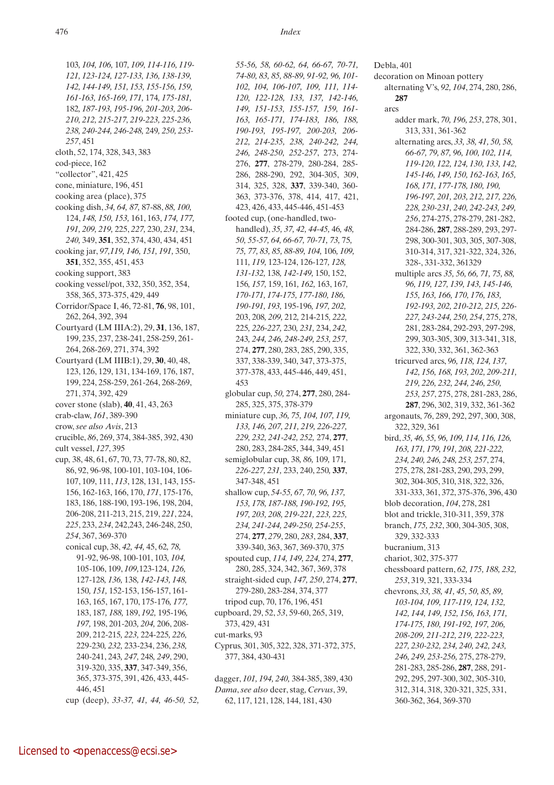103*, 104, 106,* 107*, 109, 114-116, 119- 121, 123-124, 127-133, 136, 138-139, 142, 144-149, 151, 153, 155-156, 159, 161-163, 165-169, 171,* 174*, 175-181,*  182*, 187-193, 195-196, 201-203, 206- 210, 212, 215-217, 219-223, 225-236, 238, 240-244, 246-248,* 249*, 250, 253- 257*, 451 cloth, 52, 174, 328, 343, 383 cod-piece, 162 "collector", 421, 425 cone, miniature, 196, 451 cooking area (place), 375 cooking dish, *34, 64, 87,* 87-88, *88, 100,*  124, *148, 150, 153,* 161, 163, *174, 177, 191, 209, 219,* 225, *227,* 230, *231,* 234, *240,* 349, **351**, 352, 374, 430, 434, 451 cooking jar, *97,119, 146, 151, 191,* 350, **351**, 352, 355, 451, 453 cooking support, 383 cooking vessel/pot, 332, 350, 352, 354, 358, 365, 373-375, 429, 449 Corridor/Space I, 46, 72-81, **76**, 98, 101, 262, 264, 392, 394 Courtyard (LM IIIA:2), 29, **31**, 136, 187, 199, 235, 237, 238-241, 258-259, 261- 264, 268-269, 271, 374, 392 Courtyard (LM IIIB:1), 29, **30**, 40, 48, 123, 126, 129, 131, 134-169, 176, 187, 199, 224, 258-259, 261-264, 268-269, 271, 374, 392, 429 cover stone (slab), **40**, 41, 43, 263 crab-claw, *161*, 389-390 crow, *see also Avis*, 213 crucible, *86*, 269, 374, 384-385, 392, 430 cult vessel, *127*, 395 cup, 38, 48, 61, 67, 70, 73, 77-78, 80, 82, 86, 92, 96-98, 100-101, 103-104, 106- 107, 109, 111, *113*, 128, 131, 143, 155- 156, 162-163, 166, 170, *171*, 175-176, 183, 186, 188-190, 193-196, 198, 204, 206-208, 211-213, 215, 219, *221*, 224, *225*, 233, *234*, 242,243, 246-248, 250, *254*, 367, 369-370 conical cup, 38, *42, 44,* 45, 62*, 78,*  91-92, 96-98, 100-101, 103*, 104,*  105-106, 109, *109,*123-124, *126,*  127-128*, 136,* 138*, 142-143, 148,*  150*, 151,* 152-153, 156-157, 161- 163, 165, 167, 170, 175-176*, 177,*  183, 187*, 188,* 189, *192,* 195-196*, 197,* 198, 201-203*, 204,* 206, 208- 209, 212-215*, 223,* 224-225*, 226,*  229-230*, 232,* 233-234, 236, *238,*  240-241, 243*, 247,* 248*, 249*, 290, 319-320, 335, **337**, 347-349, 356, 365, 373-375, 391, 426, 433, 445- 446, 451

cup (deep), *33-37, 41, 44, 46-50, 52,* 

*55-56, 58, 60-62, 64, 66-67, 70-71, 74-80, 83, 85, 88-89, 91-92, 96, 101- 102, 104, 106-107, 109, 111, 114- 120, 122-128, 133, 137, 142-146, 149, 151-153, 155-157, 159, 161- 163, 165-171, 174-183, 186, 188, 190-193, 195-197, 200-203, 206- 212, 214-235, 238, 240-242, 244, 246, 248-250, 252-257*, 273, 274- 276, **277**, 278-279, 280-284, 285- 286, 288-290, 292, 304-305, 309, 314, 325, 328, **337**, 339-340, 360- 363, 373-376, 378, 414, 417, 421, 423, 426, 433, 445-446, 451-453 footed cup, (one-handled, twohandled), *35, 37, 42, 44-45,* 46*, 48, 50, 55-57, 64, 66-67, 70-71, 73,* 75*, 75, 77, 83, 85, 88-89, 104,* 106*, 109,*  111*, 119,* 123-124, 126-127*, 128, 131-132,* 138*, 142-149,* 150, 152, 156*, 157,* 159, 161*, 162,* 163, 167*, 170-171, 174-175, 177-180, 186, 190-191, 193,* 195-196*, 197, 202,*  203, 208*, 209,* 212*,* 214-215*, 222,*  225*, 226-227,* 230*, 231,* 234, *242,*  243*, 244, 246, 248-249, 253, 257*, 274, **277**, 280, 283, 285, 290, 335, 337, 338-339, 340, 347, 373-375, 377-378, 433, 445-446, 449, 451, 453 globular cup, *50,* 274, **277**, 280, 284- 285, 325, 375, 378-379 miniature cup, *36, 75, 104, 107, 119, 133, 146, 207, 211, 219, 226-227, 229, 232, 241-242, 252,* 274, **277**, 280, 283, 284-285, 344, 349, 451 semiglobular cup, 38*, 86,* 109*,* 171*, 226-227, 231,* 233, 240, 250*,* **337**, 347-348, 451 shallow cup, *54-55, 67, 70, 96, 137, 153, 178, 187-188, 190-192, 195, 197, 203, 208, 219-221, 223, 225, 234, 241-244, 249-250, 254-255*, 274, **277**, *279*, 280, *283*, 284, **337**, 339-340, 363, 367, 369-370, 375 spouted cup, *114, 149, 224,* 274, **277**, 280, 285, 324, 342, 367, 369, 378 straight-sided cup, *147, 250*, 274, **277**, 279-280, 283-284, 374, 377 tripod cup, 70, 176, 196, 451 cupboard, 29, 52, *53*, 59-60, 265, 319, 373, 429, 431 cut-marks, 93 Cyprus, 301, 305, 322, 328, 371-372, 375, 377, 384, 430-431

dagger, *101, 194, 240,* 384-385, 389, 430 *Dama*, *see also* deer, stag, *Cervus*, 39, 62, 117, 121, 128, 144, 181, 430

Debla, 401 decoration on Minoan pottery alternating V's, *92, 104*, 274, 280, 286, **287** arcs adder mark, *70, 196, 253*, 278, 301, 313, 331, 361-362 alternating arcs, *33, 38, 41, 50, 58, 66-67, 79, 87, 96, 100, 102, 114, 119-120, 122, 124, 130, 133, 142, 145-146, 149, 150, 162-163, 165, 168, 171, 177-178, 180, 190, 196-197, 201, 203, 212, 217, 226, 228, 230-231, 240, 242-243, 249, 256*, 274-275, 278-279, 281-282, 284-286, **287**, 288-289, 293, 297- 298, 300-301, 303, 305, 307-308, 310-314, 317, 321-322, 324, 326, 328-, 331-332, 361329 multiple arcs *35, 56, 66, 71, 75, 88, 96, 119, 127, 139, 143, 145-146, 155, 163, 166, 170, 176, 183, 192-193, 202, 210-212, 215, 226- 227, 243-244, 250, 254*, 275, 278, 281, 283-284, 292-293, 297-298, 299, 303-305, 309, 313-341, 318, 322, 330, 332, 361, 362-363 tricurved arcs, *96, 118, 124, 137, 142, 156, 168, 193, 202, 209-211, 219, 226, 232, 244, 246, 250, 253, 257*, 275, 278, 281-283, 286, **287**, 296, 302, 319, 332, 361-362 argonauts, *76*, 289, 292, 297, 300, 308, 322, 329, 361 bird, *35, 46, 55, 96, 109, 114, 116, 126, 163, 171, 179, 191, 208, 221-222, 234, 240, 246, 248, 253, 257*, 274, 275, 278, 281-283, 290, 293, 299, 302, 304-305, 310, 318, 322, 326, 331-333, 361, 372, 375-376, 396, 430 blob decoration, *104*, 278, 281 blot and trickle, 310-311, 359, 378 branch, *175, 232*, 300, 304-305, 308, 329, 332-333 bucranium, 313 chariot, 302, 375-377 chessboard pattern, *62, 175, 188, 232, 253*, 319, 321, 333-334 chevrons, *33, 38, 41, 45, 50, 85, 89, 103-104, 109, 117-119, 124, 132, 142, 144, 149, 152, 156, 163, 171, 174-175, 180, 191-192, 197, 206, 208-209, 211-212, 219, 222-223, 227, 230-232, 234, 240, 242, 243, 246, 249, 253-256,* 275, 278-279, 281-283, 285-286, **287**, 288, 291- 292, 295, 297-300, 302, 305-310, 312, 314, 318, 320-321, 325, 331,

360-362, 364, 369-370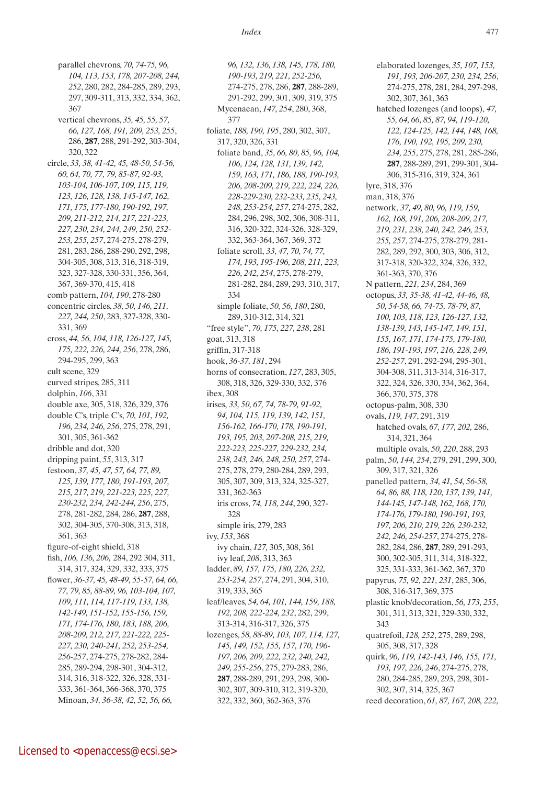parallel chevrons, *70, 74-75, 96, 104, 113, 153, 178, 207-208, 244, 252*, 280, 282, 284-285, 289, 293, 297, 309-311, 313, 332, 334, 362, 367 vertical chevrons, *35, 45, 55, 57, 66, 127, 168, 191, 209, 253, 255*, 286, **287**, 288, 291-292, 303-304, 320, 322 circle, *33, 38, 41-42, 45, 48-50, 54-56, 60, 64, 70, 77, 79, 85-87, 92-93, 103-104, 106-107, 109, 115, 119, 123, 126, 128, 138, 145-147, 162, 171, 175, 177-180, 190-192, 197, 209, 211-212, 214, 217, 221-223, 227, 230, 234, 244, 249, 250, 252- 253, 255, 257*, 274-275, 278-279, 281, 283, 286, 288-290, 292, 298, 304-305, 308, 313, 316, 318-319, 323, 327-328, 330-331, 356, 364, 367, 369-370, 415, 418 comb pattern, *104, 190*, 278-280 concentric circles, *38, 50, 146, 211, 227, 244, 250*, 283, 327-328, 330- 331, 369 cross, *44, 56, 104, 118, 126-127, 145, 175, 222, 226, 244, 256*, 278, 286, 294-295, 299, 363 cult scene, 329 curved stripes, 285, 311 dolphin, *106*, 331 double axe, 305, 318, 326, 329, 376 double C's, triple C's, *70, 101, 192, 196, 234, 246, 256*, 275, 278, 291, 301, 305, 361-362 dribble and dot, 320 dripping paint, *55*, 313, 317 festoon, *37, 45, 47, 57, 64, 77, 89, 125, 139, 177, 180, 191-193, 207, 215, 217, 219, 221-223, 225, 227, 230-232, 234, 242-244, 256*, 275, 278, 281-282, 284, 286, **287**, 288, 302, 304-305, 370-308, 313, 318, 361, 363 figure-of-eight shield, 318 fish, *106, 136, 206,* 284, 292 304, 311, 314, 317, 324, 329, 332, 333, 375 flower, *36-37, 45, 48-49, 55-57, 64, 66, 77, 79, 85, 88-89, 96, 103-104, 107, 109, 111, 114, 117-119, 133, 138, 142-149, 151-152, 155-156, 159, 171, 174-176, 180, 183, 188, 206, 208-209, 212, 217, 221-222, 225- 227, 230, 240-241, 252, 253-254, 256-257*, 274-275, 278-282, 284- 285, 289-294, 298-301, 304-312, 314, 316, 318-322, 326, 328, 331- 333, 361-364, 366-368, 370, 375 Minoan, *34, 36-38, 42, 52, 56, 66,* 

*96, 132, 136, 138, 145, 178, 180, 190-193, 219, 221, 252-256,*  274-275, 278, 286, **287**, 288-289, 291-292, 299, 301, 309, 319, 375 Mycenaean, *147, 254*, 280, 368, 377 foliate, *188, 190, 195*, 280, 302, 307, 317, 320, 326, 331 foliate band, *35, 66, 80, 85, 96, 104, 106, 124, 128, 131, 139, 142, 159, 163, 171, 186, 188, 190-193, 206, 208-209, 219, 222, 224, 226, 228-229-230, 232-233, 235, 243, 248, 253-254, 257*, 274-275, 282, 284, 296, 298, 302, 306, 308-311, 316, 320-322, 324-326, 328-329, 332, 363-364, 367, 369, 372 foliate scroll, *33, 47, 70, 74, 77, 174, 193, 195-196, 208, 211, 223, 226, 242, 254*, 275, 278-279, 281-282, 284, 289, 293, 310, 317, 334 simple foliate, *50, 56, 180*, 280, 289, 310-312, 314, 321 "free style", *70, 175, 227, 238*, 281 goat, 313, 318 griffin, 317-318 hook, *36-37, 181*, 294 horns of consecration, *127*, 283, 305, 308, 318, 326, 329-330, 332, 376 ibex, 308 irises, *33, 50, 67, 74, 78-79, 91-92, 94, 104, 115, 119, 139, 142, 151, 156-162, 166-170, 178, 190-191, 193, 195, 203, 207-208, 215, 219, 222-223, 225-227, 229-232, 234, 238, 243, 246, 248, 250, 257*, 274- 275, 278, 279, 280-284, 289, 293, 305, 307, 309, 313, 324, 325-327, 331, 362-363 iris cross, *74, 118, 244*, 290, 327- 328 simple iris, 279, 283 ivy, *153*, 368 ivy chain, *127,* 305, 308, 361 ivy leaf, *208*, 313, 363 ladder, *89, 157, 175, 180, 226, 232, 253-254, 257*, 274, 291, 304, 310, 319, 333, 365 leaf/leaves, *54, 64, 101, 144, 159, 188, 192, 208, 222-224, 232*, 282, 299, 313-314, 316-317, 326, 375 lozenges, *58, 88-89, 103, 107, 114, 127, 145, 149, 152, 155, 157, 170, 196- 197, 206, 209, 222, 232, 240, 242, 249, 255-256*, 275, 279-283, 286, **287**, 288-289, 291, 293, 298, 300- 302, 307, 309-310, 312, 319-320, 322, 332, 360, 362-363, 376

elaborated lozenges, *35, 107, 153, 191, 193, 206-207, 230, 234, 256*, 274-275, 278, 281, 284, 297-298, 302, 307, 361, 363 hatched lozenges (and loops), *47, 55, 64, 66, 85, 87, 94, 119-120, 122, 124-125, 142, 144, 148, 168, 176, 190, 192, 195, 209, 230, 234, 255*, 275, 278, 281, 285-286, **287**, 288-289, 291, 299-301, 304- 306, 315-316, 319, 324, 361 lyre, 318, 376 man, 318, 376 network, *37, 49, 80, 96, 119, 159, 162, 168, 191, 206, 208-209, 217, 219, 231, 238, 240, 242, 246, 253, 255, 257*, 274-275, 278-279, 281- 282, 289, 292, 300, 303, 306, 312, 317-318, 320-322, 324, 326, 332, 361-363, 370, 376 N pattern, *221, 234*, 284, 369 octopus, *33, 35-38, 41-42, 44-46, 48, 50, 54-58, 66, 74-75, 78-79, 87, 100, 103, 118, 123, 126-127, 132, 138-139, 143, 145-147, 149, 151, 155, 167, 171, 174-175, 179-180, 186, 191-193, 197, 216, 228, 249, 252-257*, 291, 292-294, 295-301, 304-308, 311, 313-314, 316-317, 322, 324, 326, 330, 334, 362, 364, 366, 370, 375, 378 octopus-palm, 308, 330 ovals, *119, 147*, 291, 319 hatched ovals, *67, 177, 202,* 286, 314, 321, 364 multiple ovals, *50, 220*, 288, 293 palm, *50, 144, 254*, 279, 291, 299, 300, 309, 317, 321, 326 panelled pattern, *34, 41, 54, 56-58, 64, 86, 88, 118, 120, 137, 139, 141, 144-145, 147-148, 162, 168, 170, 174-176, 179-180, 190-191, 193, 197, 206, 210, 219, 226, 230-232, 242, 246, 254-257*, 274-275, 278- 282, 284, 286, **287**, 289, 291-293, 300, 302-305, 311, 314, 318-322, 325, 331-333, 361-362, 367, 370 papyrus, *75, 92, 221, 231*, 285, 306, 308, 316-317, 369, 375 plastic knob/decoration, *56, 173, 255*, 301, 311, 313, 321, 329-330, 332, 343 quatrefoil, *128, 252*, 275, 289, 298, 305, 308, 317, 328 quirk, *96, 119, 142-143, 146, 155, 171, 193, 197, 226, 246*, 274-275, 278, 280, 284-285, 289, 293, 298, 301- 302, 307, 314, 325, 367 reed decoration, *61, 87, 167, 208, 222,*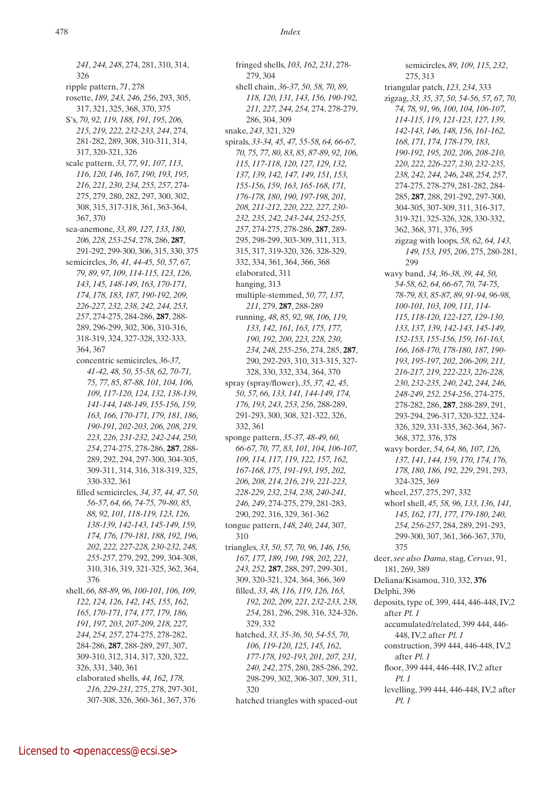*241, 244, 248*, 274, 281, 310, 314, 326 ripple pattern, *71*, 278 rosette, *189, 243, 246, 256*, 293, 305, 317, 321, 325, 368, 370, 375 S's, *70, 92, 119, 188, 191, 195, 206, 215, 219, 222, 232-233, 244*, 274, 281-282, 289, 308, 310-311, 314, 317, 320-321, 326 scale pattern, *33, 77, 91, 107, 113, 116, 120, 146, 167, 190, 193, 195, 216, 221, 230, 234, 255, 257*, 274- 275, 279, 280, 282, 297, 300, 302, 308, 315, 317-318, 361, 363-364, 367, 370 sea-anemone, *33, 89, 127, 133, 180, 206, 228, 253-254*, 278, 286, **287**, 291-292, 299-300, 306, 315, 330, 375 semicircles, *36, 41, 44-45, 50, 57, 67, 79, 89, 97, 109, 114-115, 123, 126, 143, 145, 148-149, 163, 170-171, 174, 178, 183, 187, 190-192, 209, 226-227, 232, 238, 242, 244, 253, 257*, 274-275, 284-286, **287**, 288- 289, 296-299, 302, 306, 310-316, 318-319, 324, 327-328, 332-333, 364, 367 concentric semicircles, *36-37, 41-42, 48, 50, 55-58, 62, 70-71, 75, 77, 85, 87-88, 101, 104, 106, 109, 117-120, 124, 132, 138-139, 141-144, 148-149, 155-156, 159, 163, 166, 170-171, 179, 181, 186, 190-191, 202-203, 206, 208, 219, 223, 226, 231-232, 242-244, 250, 254*, 274-275, 278-286, **287**, 288- 289, 292, 294, 297-300, 304-305, 309-311, 314, 316, 318-319, 325, 330-332, 361 filled semicircles, *34, 37, 44, 47, 50, 56-57, 64, 66, 74-75, 79-80, 85, 88, 92, 101, 118-119, 123, 126, 138-139, 142-143, 145-149, 159, 174, 176, 179-181, 188, 192, 196, 202, 222, 227-228, 230-232, 248, 255-257*, 279, 292, 299, 304-308, 310, 316, 319, 321-325, 362, 364, 376 shell, *66, 88-89, 96, 100-101, 106, 109, 122, 124, 126, 142, 145, 155, 162, 165, 170-171, 174, 177, 179, 186, 191, 197, 203, 207-209, 218, 227, 244, 254, 257*, 274-275, 278-282, 284-286, **287**, 288-289, 297, 307, 309-310, 312, 314, 317, 320, 322, 326, 331, 340, 361 elaborated shells, *44, 162, 178, 216, 229-231,* 275, 278, 297-301, 307-308, 326, 360-361, 367, 376

fringed shells, *103, 162, 231*, 278- 279, 304 shell chain, *36-37, 50, 58, 70, 89, 118, 120, 131, 143, 156, 190-192, 211, 227, 244, 254,* 274, 278-279, 286, 304, 309 snake, *243*, 321, 329 spirals, *33-34, 45, 47, 55-58, 64, 66-67, 70, 75, 77, 80, 83, 85, 87-89, 92, 106, 115, 117-118, 120, 127, 129, 132, 137, 139, 142, 147, 149, 151, 153, 155-156, 159, 163, 165-168, 171, 176-178, 180, 190, 197-198, 201, 208, 211-212, 220, 222, 227, 230- 232, 235, 242, 243-244, 252-255, 257*, 274-275, 278-286, **287**, 289- 295, 298-299, 303-309, 311, 313, 315, 317, 319-320, 326, 328-329, 332, 334, 361, 364, 366, 368 elaborated, 311 hanging, 313 multiple-stemmed, *50, 77, 137, 211,* 279, **287**, 288-289 running, *48, 85, 92, 98, 106, 119, 133, 142, 161, 163, 175, 177, 190, 192, 200, 223, 228, 230, 234, 248, 255-256*, 274, 285, **287**, 290, 292-293, 310, 313-315, 327- 328, 330, 332, 334, 364, 370 spray (spray/flower), *35, 37, 42, 45, 50, 57, 66, 133, 141, 144-149, 174, 176, 193, 243, 253, 256*, 288-289, 291-293, 300, 308, 321-322, 326, 332, 361 sponge pattern, *35-37, 48-49, 60, 66-67, 70, 77, 83, 101, 104, 106-107, 109, 114, 117, 119, 122, 157, 162, 167-168, 175, 191-193, 195, 202, 206, 208, 214, 216, 219, 221-223, 228-229, 232, 234, 238, 240-241, 246, 249*, 274-275, 279, 281-283, 290, 292, 316, 329, 361-362 tongue pattern, *148, 240, 244*, 307, 310 triangles, *33, 50, 57, 70, 96, 146, 156, 167, 177, 189, 190, 198, 202, 221, 243, 252,* **287**, 288, 297, 299-301, 309, 320-321, 324, 364, 366, 369 filled, *33, 48, 116, 119, 126, 163, 192, 202, 209, 221, 232-233, 238, 254*, 281, 296, 298, 316, 324-326, 329, 332 hatched, *33, 35-36, 50, 54-55, 70, 106, 119-120, 125, 145, 162, 177-178, 192-193, 201, 207, 231, 240, 242*, 275, 280, 285-286, 292, 298-299, 302, 306-307, 309, 311, 320 hatched triangles with spaced-out

semicircles, *89, 109, 115, 232*, 275, 313 triangular patch, *123, 234*, 333 zigzag, *33, 35, 37, 50, 54-56, 57, 67, 70, 74, 78, 91, 96, 100, 104, 106-107, 114-115, 119, 121-123, 127, 139, 142-143, 146, 148, 156, 161-162, 168, 171, 174, 178-179, 183, 190-192, 195, 202, 206, 208-210, 220, 222, 226-227, 230, 232-235, 238, 242, 244, 246, 248, 254, 257*, 274-275, 278-279, 281-282, 284- 285, **287**, 288, 291-292, 297-300, 304-305, 307-309, 311, 316-317, 319-321, 325-326, 328, 330-332, 362, 368, 371, 376, 395 zigzag with loops, *58, 62, 64, 143, 149, 153, 195, 206*, 275, 280-281, 299 wavy band, *34, 36-38, 39, 44, 50, 54-58, 62, 64, 66-67, 70, 74-75, 78-79, 83, 85-87, 89, 91-94, 96-98, 100-101, 103, 109, 111, 114- 115, 118-120, 122-127, 129-130, 133, 137, 139, 142-143, 145-149, 152-153, 155-156, 159, 161-163, 166, 168-170, 178-180, 187, 190- 193, 195-197, 202, 206-209, 211, 216-217, 219, 222-223, 226-228, 230, 232-235, 240, 242, 244, 246, 248-249, 252, 254-256*, 274-275, 278-282, 286, **287**, 288-289, 291, 293-294, 296-317, 320-322, 324- 326, 329, 331-335, 362-364, 367- 368, 372, 376, 378 wavy border, *54, 64, 86, 107, 126, 137, 141, 144, 159, 170, 174, 176, 178, 180, 186, 192, 229*, 291, 293, 324-325, 369 wheel, *257*, 275, 297, 332 whorl shell, *45, 58, 96, 133, 136, 141, 145, 162, 171, 177, 179-180, 240, 254, 256-257*, 284, 289, 291-293, 299-300, 307, 361, 366-367, 370, 375 deer, *see also Dama*, stag, *Cervus*, 91, 181, 269, 389 Deliana/Kisamou, 310, 332, **376** Delphi, 396 deposits, type of, 399, 444, 446-448, IV,2 after *Pl. 1* accumulated/related, 399 444, 446- 448, IV,2 after *Pl. 1* construction, 399 444, 446-448, IV,2 after *Pl. 1* floor, 399 444, 446-448, IV,2 after *Pl. 1* levelling, 399 444, 446-448, IV,2 after *Pl. 1*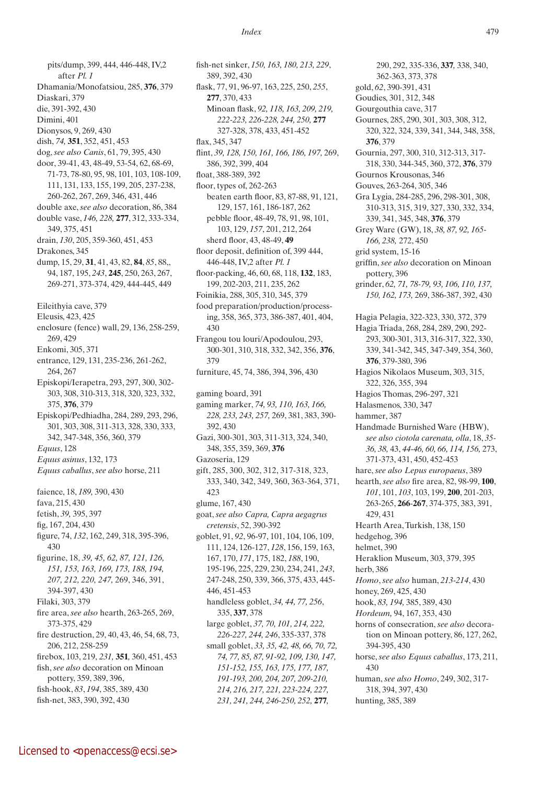pits/dump, 399, 444, 446-448, IV,2 after *Pl. 1* Dhamania/Monofatsiou, 285, **376**, 379 Diaskari, 379 die, 391-392, 430 Dimini, 401 Dionysos, 9, 269, 430 dish, *74,* **351**, 352, 451, 453 dog, *see also Canis*, 61, 79, 395, 430 door, 39-41, 43, 48-49, 53-54, 62, 68-69, 71-73, 78-80, 95, 98, 101, 103, 108-109, 111, 131, 133, 155, 199, 205, 237-238, 260-262, 267, 269, 346, 431, 446 double axe, *see also* decoration, 86, 384 double vase, *146, 228,* **277**, 312, 333-334, 349, 375, 451 drain, *130*, 205, 359-360, 451, 453 Drakones, 345 dump, 15, 29, **31**, 41, 43, 82, **84**, *85*, 88,, 94, 187, 195, *243*, **245**, 250, 263, 267, 269-271, 373-374, 429, 444-445, 449 Eileithyia cave, 379 Eleusis, 423, 425 enclosure (fence) wall, 29, 136, 258-259, 269, 429 Enkomi, 305, 371 entrance, 129, 131, 235-236, 261-262, 264, 267 Episkopi/Ierapetra, 293, 297, 300, 302- 303, 308, 310-313, 318, 320, 323, 332, 375, **376**, 379 Episkopi/Pedhiadha, 284, 289, 293, 296, 301, 303, 308, 311-313, 328, 330, 333, 342, 347-348, 356, 360, 379 *Equus*, 128 *Equus asinus*, 132, 173 *Equus caballus*, *see also* horse, 211 faience, 18, *189,* 390, 430 fava, 215, 430 fetish, *39,* 395, 397 fig, 167, 204, 430 figure, 74, *132*, 162, 249, 318, 395-396, 430 figurine, 18, *39, 45, 62, 87, 121, 126, 151, 153, 163, 169, 173, 188, 194, 207, 212, 220, 247,* 269, 346, 391, 394-397, 430 Filaki, 303, 379 fire area, *see also* hearth, 263-265, 269, 373-375, 429 fire destruction, 29, 40, 43, 46, 54, 68, 73, 206, 212, 258-259 firebox, 103, 219, *231,* **351***,* 360, 451, 453 fish, *see also* decoration on Minoan pottery, 359, 389, 396, fish-hook, *83*, *194*, 385, 389, 430 fish-net, 383, 390, 392, 430

fish-net sinker, *150, 163, 180, 213, 229*, 389, 392, 430 flask, 77, 91, 96-97, 163, 225, 250, *255*, **277**, 370, 433 Minoan flask, *92, 118, 163, 209, 219, 222-223, 226-228, 244, 250,* **277**  327-328, 378, 433, 451-452 flax, 345, 347 flint, *39, 128, 150, 161, 166, 186, 197,* 269, 386, 392, 399, 404 float, 388-389, 392 floor, types of, 262-263 beaten earth floor, 83, 87-88, 91, 121, 129, 157, 161, 186-187, 262 pebble floor, 48-49, 78, 91, 98, 101, 103, 129, *157*, 201, 212, 264 sherd floor, 43, 48-49, **49** floor deposit, definition of, 399 444, 446-448, IV,2 after *Pl. 1* floor-packing, 46, 60, 68, 118, **132**, 183, 199, 202-203, 211, 235, 262 Foinikia, 288, 305, 310, 345, 379 food preparation/production/processing, 358, 365, 373, 386-387, 401, 404, 430 Frangou tou louri/Apodoulou, 293, 300-301, 310, 318, 332, 342, 356, **376**, 379 furniture, 45, 74, 386, 394, 396, 430 gaming board, 391 gaming marker, *74, 93, 110, 163, 166, 228, 233, 243, 257,* 269, 381, 383, 390- 392, 430 Gazi, 300-301, 303, 311-313, 324, 340, 348, 355, 359, 369, **376** Gazoseria, 129 gift, 285, 300, 302, 312, 317-318, 323, 333, 340, 342, 349, 360, 363-364, 371, 423 glume, 167, 430 goat, *see also Capra, Capra aegagrus cretensis*, 52, 390-392 goblet, 91, *92*, 96-97, 101, 104, 106, 109, 111, 124, 126-127, *128*, 156, 159, 163, 167, 170, *171*, 175, 182, *188*, 190, 195-196, 225, 229, 230, 234, 241, *243*, 247-248, 250, 339, 366, 375, 433, 445- 446, 451-453 handleless goblet, *34, 44, 77, 256*, 335, **337**, 378 large goblet, *37, 70, 101, 214, 222, 226-227, 244, 246*, 335-337, 378 small goblet, *33, 35, 42, 48, 66, 70, 72, 74, 77, 85, 87, 91-92, 109, 130, 147, 151-152, 155, 163, 175, 177, 187, 191-193, 200, 204, 207, 209-210, 214, 216, 217, 221, 223-224, 227, 231, 241, 244, 246-250, 252,* **277***,* 

290, 292, 335-336, **337***,* 338, 340, 362-363, 373, 378 gold, *62*, 390-391, 431 Goudies, 301, 312, 348 Gourgouthia cave, 317 Gournes, 285, 290, 301, 303, 308, 312, 320, 322, 324, 339, 341, 344, 348, 358, **376**, 379 Gournia, 297, 300, 310, 312-313, 317- 318, 330, 344-345, 360, 372, **376**, 379 Gournos Krousonas, 346 Gouves, 263-264, 305, 346 Gra Lygia, 284-285, 296, 298-301, 308, 310-313, 315, 319, 327, 330, 332, 334, 339, 341, 345, 348, **376**, 379 Grey Ware (GW), 18, *38, 87, 92, 165- 166, 238,* 272, 450 grid system, 15-16 griffin, *see also* decoration on Minoan pottery, 396 grinder, *62, 71, 78-79, 93, 106, 110, 137, 150, 162, 173,* 269, 386-387, 392, 430 Hagia Pelagia, 322-323, 330, 372, 379 Hagia Triada, 268, 284, 289, 290, 292- 293, 300-301, 313, 316-317, 322, 330, 339, 341-342, 345, 347-349, 354, 360, **376**, 379-380, 396 Hagios Nikolaos Museum, 303, 315, 322, 326, 355, 394 Hagios Thomas, 296-297, 321 Halasmenos, 330, 347 hammer, 387 Handmade Burnished Ware (HBW), *see also ciotola carenata, olla*, 18, *35- 36, 38,* 43, *44-46, 60, 66, 114, 156,* 273, 371-373, 431, 450, 452-453 hare, *see also Lepus europaeus*, 389 hearth, *see also* fire area, 82, 98-99, **100**, *101*, 101, *103*, 103, 199, **200**, 201-203, 263-265, **266**-**267**, 374-375, 383, 391, 429, 431 Hearth Area, Turkish, 138, 150 hedgehog, 396 helmet, 390 Heraklion Museum, 303, 379, 395 herb, 386 *Homo*, *see also* human, *213-214*, 430 honey, 269, 425, 430 hook, *83, 194,* 385, 389, 430 *Hordeum,* 94, 167, 353, 430 horns of consecration, *see also* decoration on Minoan pottery, 86, 127, 262, 394-395, 430 horse, *see also Equus caballus*, 173, 211, 430 human, *see also Homo*, 249, 302, 317- 318, 394, 397, 430 hunting, 385, 389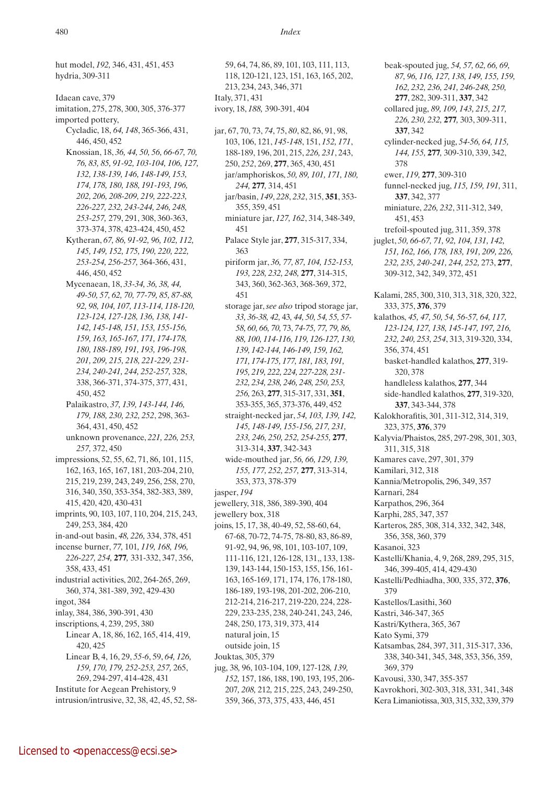hut model, *192,* 346, 431, 451, 453 hydria, 309-311

Idaean cave, 379

- imitation, 275, 278, 300, 305, 376-377 imported pottery,
	- Cycladic, 18, *64, 148*, 365-366, 431, 446, 450, 452
	- Knossian, 18, *36, 44, 50, 56, 66-67, 70, 76, 83, 85, 91-92, 103-104, 106, 127, 132, 138-139, 146, 148-149, 153, 174, 178, 180, 188, 191-193, 196, 202, 206, 208-209, 219, 222-223, 226-227, 232, 243-244, 246, 248, 253-257,* 279, 291, 308, 360-363, 373-374, 378, 423-424, 450, 452
	- Kytheran, *67, 86, 91-92, 96, 102, 112, 145, 149, 152, 175, 190, 220, 222, 253-254, 256-257,* 364-366, 431, 446, 450, 452
	- Mycenaean, 18, *33-34, 36, 38, 44, 49-50, 57, 62, 70, 77-79, 85, 87-88, 92, 98, 104, 107, 113-114, 118-120, 123-124, 127-128, 136, 138, 141- 142, 145-148, 151, 153, 155-156, 159, 163, 165-167, 171, 174-178, 180, 188-189, 191, 193, 196-198, 201, 209, 215, 218, 221-229, 231- 234, 240-241, 244, 252-257,* 328, 338, 366-371, 374-375, 377, 431, 450, 452
	- Palaikastro, *37, 139, 143-144, 146, 179, 188, 230, 232, 252*, 298, 363- 364, 431, 450, 452
	- unknown provenance, *221, 226, 253, 257,* 372, 450
- impressions, 52, 55, 62, 71, 86, 101, 115, 162, 163, 165, 167, 181, 203-204, 210, 215, 219, 239, 243, 249, 256, 258, 270, 316, 340, 350, 353-354, 382-383, 389, 415, 420, 420, 430-431
- imprints, 90, 103, 107, 110, 204, 215, 243, 249, 253, 384, 420
- in-and-out basin, *48, 226,* 334, 378, 451 incense burner, *77,* 101*, 119, 168, 196, 226-227, 254,* **277***,* 331-332, 347, 356, 358, 433, 451
- industrial activities, 202, 264-265, 269, 360, 374, 381-389, 392, 429-430 ingot, 384
- inlay, 384, 386, 390-391, 430
- inscriptions, 4, 239, 295, 380 Linear A, 18, 86, 162, 165, 414, 419, 420, 425 Linear B, 4, 16, 29, *55-6*, 59, *64, 126, 159, 170, 179, 252-253, 257,* 265, 269, 294-297, 414-428, 431 Institute for Aegean Prehistory, 9
- intrusion/intrusive, 32, 38, 42, 45, 52, 58-

59, 64, 74, 86, 89, 101, 103, 111, 113, 118, 120-121, 123, 151, 163, 165, 202, 213, 234, 243, 346, 371 Italy, 371, 431 ivory, 18, *188,* 390-391, 404

- jar, 67, 70, 73, *74*, 75, *80*, 82, 86, 91, 98, 103, 106, 121, *145-148*, 151, *152, 171*, 188-189, 196, 201, 215, *226, 231*, 243, 250, *252*, 269, **277**, 365, 430, 451 jar/amphoriskos, *50, 89, 101, 171, 180, 244,* **277***,* 314, 451 jar/basin, *149*, *228*, *232*, 315, **351**, 353- 355, 359, 451 miniature jar, *127, 162*, 314, 348-349, 451 Palace Style jar, **277**, 315-317, 334, 363 piriform jar, *36, 77, 87, 104, 152-153, 193, 228, 232, 248,* **277**, 314-315, 343, 360, 362-363, 368-369, 372, 451 storage jar, *see also* tripod storage jar, *33, 36-38, 42,* 43*, 44, 50, 54, 55, 57- 58, 60, 66, 70,* 73, *74-75, 77, 79, 86, 88, 100, 114-116, 119, 126-127, 130, 139, 142-144, 146-149, 159, 162, 171, 174-175, 177, 181, 183, 191, 195, 219, 222, 224, 227-228, 231- 232, 234, 238, 246, 248, 250, 253, 256,* 263, **277**, 315-317, 331, **351**, 353-355, 365, 373-376, 449, 452 straight-necked jar, *54, 103, 139, 142, 145, 148-149, 155-156, 217, 231, 233, 246, 250, 252, 254-255,* **277**, 313-314, **337**, 342-343 wide-mouthed jar, *56, 66, 129, 139, 155, 177, 252, 257,* **277**, 313-314, 353, 373, 378-379 jasper, *194* jewellery, 318, 386, 389-390, 404 jewellery box, 318 joins, 15, 17, 38, 40-49, 52, 58-60, 64, 67-68, 70-72, 74-75, 78-80, 83, 86-89, 91-92, 94, 96, 98, 101, 103-107, 109, 111-116, 121, 126-128, 131,, 133, 138- 139, 143-144, 150-153, 155, 156, 161- 163, 165-169, 171, 174, 176, 178-180, 186-189, 193-198, 201-202, 206-210, 212-214, 216-217, 219-220, 224, 228- 229, 233-235, 238, 240-241, 243, 246, 248, 250, 173, 319, 373, 414 natural join, 15 outside join, 15 Jouktas, 305, 379 jug, 38*,* 96, 103-104, 109, 127-128*, 139, 152,* 157, 186, 188, 190, 193, 195, 206- 207*, 208,* 212*,* 215, 225, 243, 249-250, 359, 366, 373, 375, 433, 446, 451
- beak-spouted jug, *54, 57, 62, 66, 69, 87, 96, 116, 127, 138, 149, 155, 159, 162, 232, 236, 241, 246-248, 250,*  **277**, 282, 309-311, **337**, 342 collared jug, *89, 109, 143, 215, 217, 226, 230, 232,* **277***,* 303, 309-311, **337**, 342 cylinder-necked jug, *54-56, 64, 115, 144, 155,* **277***,* 309-310, 339, 342, 378 ewer, *119,* **277**, 309-310 funnel-necked jug, *115, 159, 191,* 311, **337**, 342, 377 miniature, *226, 232*, 311-312, 349, 451, 453 trefoil-spouted jug, 311, 359, 378 juglet, *50, 66-67, 71, 92, 104, 131, 142, 151, 162, 166, 178, 183, 191, 209, 226, 232, 235, 240-241, 244, 252,* 273, **277**, 309-312, 342, 349, 372, 451 Kalami, 285, 300, 310, 313, 318, 320, 322, 333, 375, **376**, 379 kalathos, *45, 47, 50, 54, 56-57, 64, 117, 123-124, 127, 138, 145-147, 197, 216, 232, 240, 253, 254*, 313, 319-320, 334, 356, 374, 451 basket-handled kalathos, **277**, 319- 320, 378 handleless kalathos, **277**, 344 side-handled kalathos, **277**, 319-320, **337**, 343-344, 378 Kalokhorafitis, 301, 311-312, 314, 319, 323, 375, **376**, 379 Kalyvia/Phaistos, 285, 297-298, 301, 303, 311, 315, 318 Kamares cave, 297, 301, 379 Kamilari, 312, 318 Kannia/Metropolis, 296, 349, 357 Karnari, 284 Karpathos, 296, 364 Karphi, 285, 347, 357 Karteros, 285, 308, 314, 332, 342, 348, 356, 358, 360, 379 Kasanoi, 323 Kastelli/Khania, 4, 9, 268, 289, 295, 315, 346, 399-405, 414, 429-430 Kastelli/Pedhiadha, 300, 335, 372, **376**, 379 Kastellos/Lasithi, 360 Kastri, 346-347, 365 Kastri/Kythera, 365, 367 Kato Symi, 379 Katsambas, 284, 397, 311, 315-317, 336, 338, 340-341, 345, 348, 353, 356, 359, 369, 379 Kavousi, 330, 347, 355-357 Kavrokhori, 302-303, 318, 331, 341, 348 Kera Limaniotissa, 303, 315, 332, 339, 379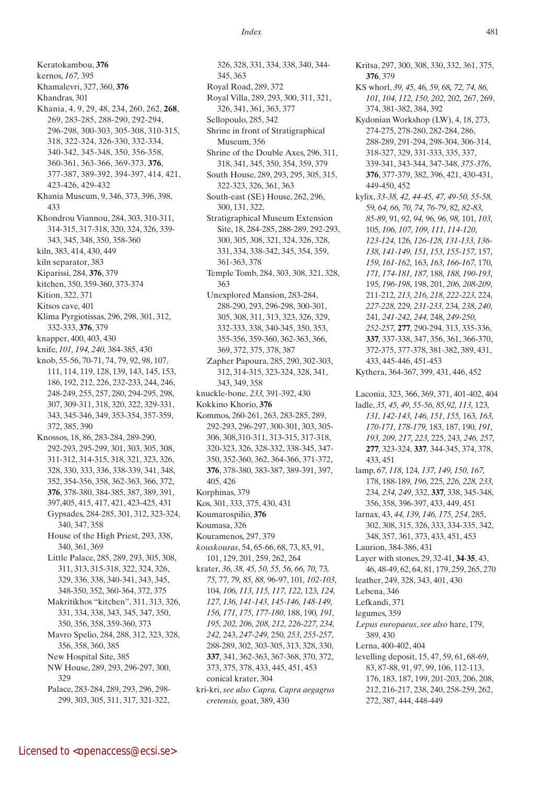Keratokambou, **376** kernos, *167,* 395 Khamalevri, 327, 360, **376** Khandras, 301 Khania, 4, 9, 29, 48, 234, 260, 262, **268**, 269, 283-285, 288-290, 292-294, 296-298, 300-303, 305-308, 310-315, 318, 322-324, 326-330, 332-334, 340-342, 345-348, 350, 356-358, 360-361, 363-366, 369-373, **376**, 377-387, 389-392, 394-397, 414, 421, 423-426, 429-432 Khania Museum, 9, 346, 373, 396, 398, 433 Khondrou Viannou, 284, 303, 310-311, 314-315, 317-318, 320, 324, 326, 339- 343, 345, 348, 350, 358-360 kiln, 383, 414, 430, 449 kiln separator, 383 Kiparissi, 284, **376**, 379 kitchen, 350, 359-360, 373-374 Kition, 322, 371 Kitsos cave, 401 Klima Pyrgiotissas, 296, 298, 301, 312, 332-333, **376**, 379 knapper, 400, 403, 430 knife, *101, 194, 240,* 384-385, 430 knob, 55-56, 70-71, 74, 79, 92, 98, 107, 111, 114, 119, 128, 139, 143, 145, 153, 186, 192, 212, 226, 232-233, 244, 246, 248-249, 255, 257, 280, 294-295, 298, 307, 309-311, 318, 320, 322, 329-331, 343, 345-346, 349, 353-354, 357-359, 372, 385, 390 Knossos, 18, 86, 283-284, 289-290, 292-293, 295-299, 301, 303, 305, 308, 311-312, 314-315, 318, 321, 323, 326, 328, 330, 333, 336, 338-339, 341, 348, 352, 354-356, 358, 362-363, 366, 372, **376**, 378-380, 384-385, 387, 389, 391, 397,405, 415, 417, 421, 423-425, 431 Gypsades, 284-285, 301, 312, 323-324, 340, 347, 358 House of the High Priest, 293, 338, 340, 361, 369 Little Palace, 285, 289, 293, 305, 308, 311, 313, 315-318, 322, 324, 326, 329, 336, 338, 340-341, 343, 345, 348-350, 352, 360-364, 372, 375 Makritikhos "kitchen", 311, 313, 326, 331, 334, 338, 343, 345, 347, 350, 350, 356, 358, 359-360, 373 Mavro Spelio, 284, 288, 312, 323, 328, 356, 358, 360, 385 New Hospital Site, 385 NW House, 289, 293, 296-297, 300, 329 Palace, 283-284, 289, 293, 296, 298- 299, 303, 305, 311, 317, 321-322,

326, 328, 331, 334, 338, 340, 344- 345, 363 Royal Road, 289, 372 Royal Villa, 289, 293, 300, 311, 321, 326, 341, 361, 363, 377 Sellopoulo, 285, 342 Shrine in front of Stratigraphical Museum, 356 Shrine of the Double Axes, 296, 311, 318, 341, 345, 350, 354, 359, 379 South House, 289, 293, 295, 305, 315, 322-323, 326, 361, 363 South-east (SE) House, 262, 296, 300, 131, 322, Stratigraphical Museum Extension Site, 18, 284-285, 288-289, 292-293, 300, 305, 308, 321, 324, 326, 328, 331, 334, 338-342, 345, 354, 359, 361-363, 378 Temple Tomb, 284, 303, 308, 321, 328, 363 Unexplored Mansion, 283-284, 288-290, 293, 296-298, 300-301, 305, 308, 311, 313, 323, 326, 329, 332-333, 338, 340-345, 350, 353, 355-356, 359-360, 362-363, 366, 369, 372, 375, 378, 387 Zapher Papoura, 285, 290, 302-303, 312, 314-315, 323-324, 328, 341, 343, 349, 358 knuckle-bone, *233,* 391-392, 430 Kokkino Khorio, **376** Kommos, 260-261, 263, 283-285, 289, 292-293, 296-297, 300-301, 303, 305- 306, 308,310-311, 313-315, 317-318, 320-323, 326, 328-332, 338-345, 347- 350, 352-360, 362, 364-366, 371-372, **376**, 378-380, 383-387, 389-391, 397, 405, 426 Korphinas, 379 Kos, 301, 333, 375, 430, 431 Koumarospilio, **376** Koumasa, 326 Kouramenos, 297, 379 *kouskouras*, 54, 65-66, 68, 73, 83, 91, 101, 129, 201, 259, 262, 264 krater, *36, 38, 45, 50, 55, 56, 66, 70,* 73*, 75,* 77*, 79, 85, 88,* 96-97, 101*, 102-103,*  104*, 106, 113, 115, 117, 122,* 123*, 124, 127, 136, 141-143, 145-146, 148-149, 156, 171, 175, 177-180,* 188, 190*, 191, 195, 202, 206, 208, 212, 226-227, 234, 242,* 243, *247-249,* 250*, 253, 255-257*, 288-289, 302, 303-305, 313, 328, 330, **337**, 341, 362-363, 367-368, 370, 372, 373, 375, 378, 433, 445, 451, 453 conical krater, 304 kri-kri, *see also Capra, Capra aegagrus cretensis,* goat, 389, 430

Kritsa, 297, 300, 308, 330, 332, 361, 375, **376**, 379 KS whorl, *39, 45,* 46*, 59,* 68*, 72, 74, 86, 101, 104, 112, 150, 202,* 202*,* 267, 269, 374, 381-382, 384, 392 Kydonian Workshop (LW), 4, 18, 273, 274-275, 278-280, 282-284, 286, 288-289, 291-294, 298-304, 306-314, 318-327, 329, 331-333, 335, 337, 339-341, 343-344, 347-348, *375-376*, **376**, 377-379, 382, 396, 421, 430-431, 449-450, 452 kylix, *33-38, 42, 44-45, 47, 49-50, 55-58,*  59*, 64, 66, 70, 74, 76-79,* 82*, 82-83, 85-89,* 91*, 92, 94,* 96*, 96, 98,* 101*, 103,*  105*, 106, 107, 109, 111, 114-120, 123-124,* 126*, 126-128, 131-133, 136- 138, 141-149, 151, 153, 155-157,* 157*, 159, 161-162,* 163*, 163, 166-167,* 170*, 171, 174-181, 187,* 188*, 188, 190-193,*  195*, 196-198,* 198, 201*, 206, 208-209,*  211-212*, 213, 216, 218, 222-223,* 224*, 227-228,* 229*, 231-233,* 234*, 238, 240,*  241*, 241-242, 244,* 248*, 249-250, 252-257,* **277***,* 290-294, 313, 335-336, **337***,* 337-338, 347, 356, 361, 366-370, 372-375, 377-378, 381-382, 389, 431, 433, 445-446, 451-453 Kythera, 364-367, 399, 431, 446, 452 Laconia, 323, 366, 369, 371, 401-402, 404 ladle, *35, 45, 49, 55-56, 85,92, 113,* 123*, 131, 142-143, 146, 151, 155,* 163*, 163, 170-171, 178-179,* 183, 187, 190*, 191, 193, 209, 217, 223,* 225, 243*, 246, 257,*  **277***,* 323-324, **337***,* 344-345, 374, 378, 433, 451 lamp, *67, 118,* 124*, 137, 149, 150, 167,*  178, 188-189*, 196,* 225*, 226, 228, 233,*  234*, 234, 249*, 332, **337***,* 338, 345-348, 356, 358, 396-397, 433, 449, 451 larnax, 43, *44, 139, 146, 175, 254*, 285, 302, 308, 315, 326, 333, 334-335, 342, 348, 357, 361, 373, 433, 451, 453 Laurion, 384-386, 431 Layer with stones, 29, 32-41, **34**-**35**, 43, 46, 48-49, 62, 64, 81, 179, 259, 265, 270 leather, 249, 328, 343, 401, 430 Lebena, 346 Lefkandi, 371 legumes, 359 *Lepus europaeus*, *see also* hare, 179, 389, 430 Lerna, 400-402, 404 levelling deposit, 15, 47, 59, 61, 68-69, 83, 87-88, 91, 97, 99, 106, 112-113, 176, 183, 187, 199, 201-203, 206, 208, 212, 216-217, 238, 240, 258-259, 262, 272, 387, 444, 448-449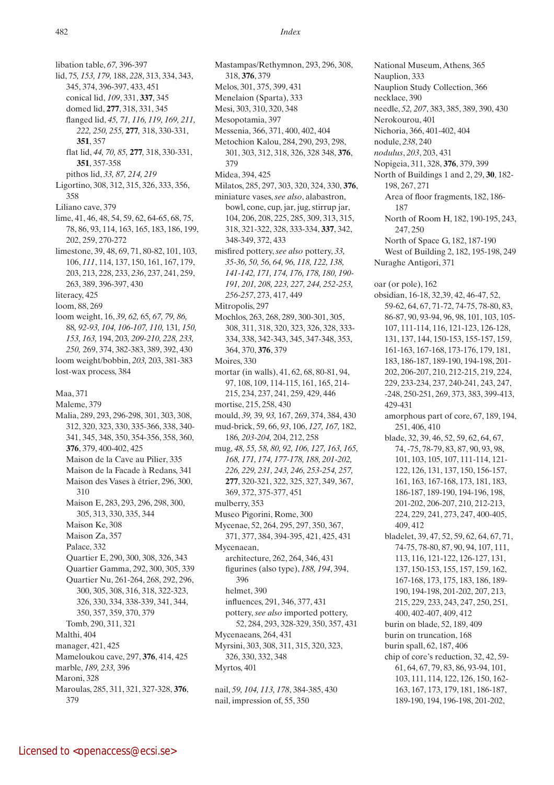libation table, *67,* 396-397 lid, 75*, 153, 179,* 188, *228*, 313, 334, 343, 345, 374, 396-397, 433, 451 conical lid, *109*, 331, **337**, 345 domed lid, **277**, 318, 331, 345 flanged lid, *45, 71, 116, 119, 169, 211, 222, 250, 255,* **277***,* 318, 330-331, **351**, 357 flat lid, *44, 70, 85,* **277***,* 318, 330-331, **351**, 357-358 pithos lid, *33, 87, 214, 219* Ligortino, 308, 312, 315, 326, 333, 356, 358 Liliano cave, 379 lime, 41, 46, 48, 54, 59, 62, 64-65, 68, 75, 78, 86, 93, 114, 163, 165, 183, 186, 199, 202, 259, 270-272 limestone, 39, 48, 69, 71, 80-82, 101, 103, 106, *111*, 114, 137, 150, 161, 167, 179, 203, 213, 228, 233, *236*, 237, 241, 259, 263, 389, 396-397, 430 literacy, 425 loom, 88, 269 loom weight, 16, *39, 62,* 65*, 67, 79, 86,*  88*, 92-93, 104, 106-107, 110,* 131*, 150, 153, 163,* 194, 203*, 209-210, 228, 233, 250,* 269, 374, 382-383, 389, 392, 430 loom weight/bobbin, *203,* 203, 381-383 lost-wax process, 384 Maa, 371 Maleme, 379 Malia, 289, 293, 296-298, 301, 303, 308, 312, 320, 323, 330, 335-366, 338, 340- 341, 345, 348, 350, 354-356, 358, 360, **376**, 379, 400-402, 425 Maison de la Cave au Pilier, 335 Maison de la Facade à Redans, 341 Maison des Vases à étrier, 296, 300, 310 Maison E, 283, 293, 296, 298, 300, 305, 313, 330, 335, 344 Maison Ke, 308 Maison Za, 357 Palace, 332 Quartier E, 290, 300, 308, 326, 343 Quartier Gamma, 292, 300, 305, 339 Quartier Nu, 261-264, 268, 292, 296, 300, 305, 308, 316, 318, 322-323, 326, 330, 334, 338-339, 341, 344, 350, 357, 359, 370, 379 Tomb, 290, 311, 321 Malthi, 404 manager, 421, 425 Mameloukou cave, 297, **376**, 414, 425 marble, *189, 233,* 396 Maroni, 328 Maroulas, 285, 311, 321, 327-328, **376**,

482 *Index*

Mastampas/Rethymnon, 293, 296, 308, 318, **376**, 379 Melos, 301, 375, 399, 431 Menelaion (Sparta), 333 Mesi, 303, 310, 320, 348 Mesopotamia, 397 Messenia, 366, 371, 400, 402, 404 Metochion Kalou, 284, 290, 293, 298, 301, 303, 312, 318, 326, 328 348, **376**, 379 Midea, 394, 425 Milatos, 285, 297, 303, 320, 324, 330, **376**, miniature vases, *see also*, alabastron, bowl, cone, cup, jar, jug, stirrup jar, 104, 206, 208, 225, 285, 309, 313, 315, 318, 321-322, 328, 333-334, **337**, 342, 348-349, 372, 433 misfired pottery, *see also* pottery, *33, 35-36, 50, 56, 64, 96, 118, 122, 138, 141-142, 171, 174, 176, 178, 180, 190- 191, 201, 208, 223, 227, 244, 252-253, 256-257*, 273, 417, 449 Mitropolis, 297 Mochlos, 263, 268, 289, 300-301, 305, 308, 311, 318, 320, 323, 326, 328, 333- 334, 338, 342-343, 345, 347-348, 353, 364, 370, **376**, 379 Moires, 330 mortar (in walls), 41, 62, 68, 80-81, 94, 97, 108, 109, 114-115, 161, 165, 214- 215, 234, 237, 241, 259, 429, 446 mortise, 215, 258, 430 mould, *39,* 39*, 93,* 167, 269, 374, 384, 430 mud-brick, 59, 66, *93*, 106, *127, 167,* 182, 186*, 203-204,* 204, 212, 258 mug, *48, 55, 58, 80, 92, 106, 127, 163, 165, 168, 171, 174, 177-178, 188, 201-202, 226, 229, 231, 243, 246, 253-254, 257,*  **277**, 320-321, 322, 325, 327, 349, 367, 369, 372, 375-377, 451 mulberry, 353 Museo Pigorini, Rome, 300 Mycenae, 52, 264, 295, 297, 350, 367, 371, 377, 384, 394-395, 421, 425, 431 Mycenaean, architecture, 262, 264, 346, 431 figurines (also type), *188, 194*, 394, 396 helmet, 390 influences, 291, 346, 377, 431 pottery, *see also* imported pottery, 52, 284, 293, 328-329, 350, 357, 431 Mycenaeans, 264, 431 Myrsini, 303, 308, 311, 315, 320, 323, 326, 330, 332, 348 Myrtos, 401 nail, *59, 104, 113, 178*, 384-385, 430

nail, impression of, 55, 350

National Museum, Athens, 365 Nauplion, 333 Nauplion Study Collection, 366 necklace, 390 needle, *52, 207*, 383, 385, 389, 390, 430 Nerokourou, 401 Nichoria, 366, 401-402, 404 nodule, *238*, 240 *nodulus*, *203*, 203, 431 Nopigeia, 311, 328, **376**, 379, 399 North of Buildings 1 and 2, 29, **30**, 182- 198, 267, 271 Area of floor fragments, 182, 186- 187 North of Room H, 182, 190-195, 243, 247, 250 North of Space G, 182, 187-190 West of Building 2, 182, 195-198, 249 Nuraghe Antigori, 371 oar (or pole), 162 obsidian, 16-18, 32,39, 42, 46-47, 52, 59-62, 64, 67, 71-72, 74-75, 78-80, 83, 86-87, 90, 93-94, 96, 98, 101, 103, 105- 107, 111-114, 116, 121-123, 126-128, 131, 137, 144, 150-153, 155-157, 159, 161-163, 167-168, 173-176, 179, 181, 183, 186-187, 189-190, 194-198, 201- 202, 206-207, 210, 212-215, 219, 224, 229, 233-234, 237, 240-241, 243, 247, -248, 250-251, 269, 373, 383, 399-413, 429-431 amorphous part of core, 67, 189, 194, 251, 406, 410 blade, 32, 39, 46, 52, 59, 62, 64, 67, 74, -75, 78-79, 83, 87, 90, 93, 98, 101, 103, 105, 107, 111-114, 121- 122, 126, 131, 137, 150, 156-157, 161, 163, 167-168, 173, 181, 183, 186-187, 189-190, 194-196, 198, 201-202, 206-207, 210, 212-213, 224, 229, 241, 273, 247, 400-405, 409, 412 bladelet, 39, 47, 52, 59, 62, 64, 67, 71, 74-75, 78-80, 87, 90, 94, 107, 111, 113, 116, 121-122, 126-127, 131, 137, 150-153, 155, 157, 159, 162, 167-168, 173, 175, 183, 186, 189- 190, 194-198, 201-202, 207, 213, 215, 229, 233, 243, 247, 250, 251, 400, 402-407, 409, 412 burin on blade, 52, 189, 409 burin on truncation, 168 burin spall, 62, 187, 406 chip of core's reduction, 32, 42, 59- 61, 64, 67, 79, 83, 86, 93-94, 101, 103, 111, 114, 122, 126, 150, 162- 163, 167, 173, 179, 181, 186-187, 189-190, 194, 196-198, 201-202,

<sup>379</sup>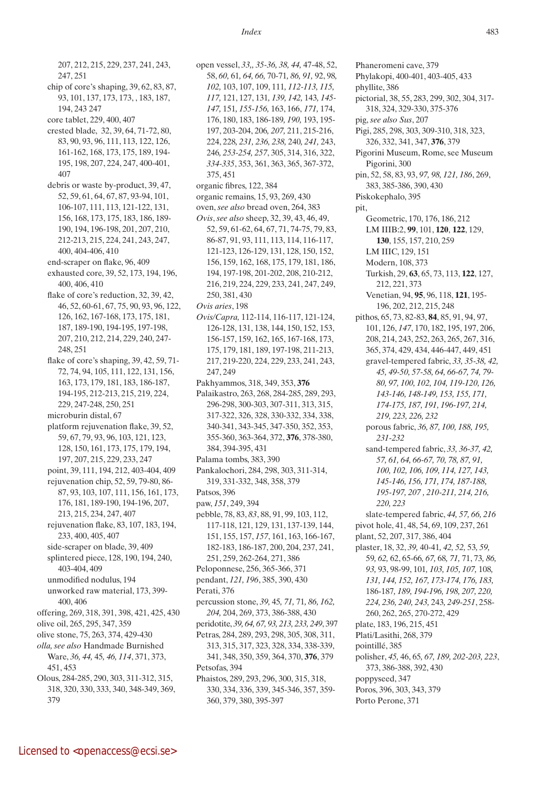207, 212, 215, 229, 237, 241, 243, 247, 251 chip of core's shaping, 39, 62, 83, 87, 93, 101, 137, 173, 173, , 183, 187, 194, 243 247 core tablet, 229, 400, 407 crested blade, 32, 39, 64, 71-72, 80, 83, 90, 93, 96, 111, 113, 122, 126, 161-162, 168, 173, 175, 189, 194- 195, 198, 207, 224, 247, 400-401, 407 debris or waste by-product, 39, 47, 52, 59, 61, 64, 67, 87, 93-94, 101, 106-107, 111, 113, 121-122, 131, 156, 168, 173, 175, 183, 186, 189- 190, 194, 196-198, 201, 207, 210, 212-213, 215, 224, 241, 243, 247, 400, 404-406, 410 end-scraper on flake, 96, 409 exhausted core, 39, 52, 173, 194, 196, 400, 406, 410 flake of core's reduction, 32, 39, 42, 46, 52, 60-61, 67, 75, 90, 93, 96, 122, 126, 162, 167-168, 173, 175, 181, 187, 189-190, 194-195, 197-198, 207, 210, 212, 214, 229, 240, 247- 248, 251 flake of core's shaping, 39, 42, 59, 71- 72, 74, 94, 105, 111, 122, 131, 156, 163, 173, 179, 181, 183, 186-187, 194-195, 212-213, 215, 219, 224, 229, 247-248, 250, 251 microburin distal, 67 platform rejuvenation flake, 39, 52, 59, 67, 79, 93, 96, 103, 121, 123, 128, 150, 161, 173, 175, 179, 194, 197, 207, 215, 229, 233, 247 point, 39, 111, 194, 212, 403-404, 409 rejuvenation chip, 52, 59, 79-80, 86- 87, 93, 103, 107, 111, 156, 161, 173, 176, 181, 189-190, 194-196, 207, 213, 215, 234, 247, 407 rejuvenation flake, 83, 107, 183, 194, 233, 400, 405, 407 side-scraper on blade, 39, 409 splintered piece, 128, 190, 194, 240, 403-404, 409 unmodified nodulus, 194 unworked raw material, 173, 399- 400, 406 offering, 269, 318, 391, 398, 421, 425, 430 olive oil, 265, 295, 347, 359 olive stone, 75, 263, 374, 429-430 *olla, see also* Handmade Burnished Ware, *36, 44,* 45*, 46, 114*, 371, 373, 451, 453 Olous, 284-285, 290, 303, 311-312, 315, 318, 320, 330, 333, 340, 348-349, 369, 379

open vessel, *33,, 35-36, 38, 44,* 47-48, 52, 58, *60,* 61*, 64, 66,* 70-71*, 86, 91,* 92, 98*, 102,* 103, 107, 109, 111*, 112-113, 115, 117,* 121, 127, 131*, 139, 142,* 143*, 145- 147,* 151*, 155-156,* 163, 166, *171,* 174, 176, 180, 183, 186-189*, 190,* 193, 195- 197, 203-204, 206*, 207,* 211, 215-216, 224, 228*, 231, 236, 238,* 240*, 241,* 243, 246*, 253-254, 257*, 305, 314, 316, 322, *334-335*, 353, 361, 363, 365, 367-372, 375, 451 organic fibres, 122, 384 organic remains, 15, 93, 269, 430 oven, *see also* bread oven, 264, 383 *Ovis*, *see also* sheep, 32, 39, 43, 46, 49, 52, 59, 61-62, 64, 67, 71, 74-75, 79, 83, 86-87, 91, 93, 111, 113, 114, 116-117, 121-123, 126-129, 131, 128, 150, 152, 156, 159, 162, 168, 175, 179, 181, 186, 194, 197-198, 201-202, 208, 210-212, 216, 219, 224, 229, 233, 241, 247, 249, 250, 381, 430 *Ovis aries*, 198 *Ovis/Capra,* 112-114, 116-117, 121-124, 126-128, 131, 138, 144, 150, 152, 153, 156-157, 159, 162, 165, 167-168, 173, 175, 179, 181, 189, 197-198, 211-213, 217, 219-220, 224, 229, 233, 241, 243, 247, 249 Pakhyammos, 318, 349, 353, **376** Palaikastro, 263, 268, 284-285, 289, 293, 296-298, 300-303, 307-311, 313, 315, 317-322, 326, 328, 330-332, 334, 338, 340-341, 343-345, 347-350, 352, 353, 355-360, 363-364, 372, **376**, 378-380, 384, 394-395, 431 Palama tombs, 383, 390 Pankalochori, 284, 298, 303, 311-314, 319, 331-332, 348, 358, 379 Patsos, 396 paw, *151*, 249, 394 pebble, 78, 83, *83*, 88, 91, 99, 103, 112, 117-118, 121, 129, 131, 137-139, 144, 151, 155, 157, *157*, 161, 163, 166-167, 182-183, 186-187, 200, 204, 237, 241, 251, 259, 262-264, 271, 386 Peloponnese, 256, 365-366, 371 pendant, *121, 196*, 385, 390, 430 Perati, 376 percussion stone, *39,* 45*, 71,* 71*, 86, 162, 204,* 204, 269, 373, 386-388, 430 peridotite, *39, 64, 67, 93, 213, 233, 249*, 397 Petras, 284, 289, 293, 298, 305, 308, 311, 313, 315, 317, 323, 328, 334, 338-339, 341, 348, 350, 359, 364, 370, **376**, 379 Petsofas, 394 Phaistos, 289, 293, 296, 300, 315, 318, 330, 334, 336, 339, 345-346, 357, 359- 360, 379, 380, 395-397

Phaneromeni cave, 379 Phylakopi, 400-401, 403-405, 433 phyllite, 386 pictorial, 38, 55, 283, 299, 302, 304, 317- 318, 324, 329-330, 375-376 pig, *see also Sus*, 207 Pigi, 285, 298, 303, 309-310, 318, 323, 326, 332, 341, 347, **376**, 379 Pigorini Museum, Rome, see Museum Pigorini, 300 pin, 52, 58, 83, 93, *97, 98, 121, 186*, 269, 383, 385-386, 390, 430 Piskokephalo, 395 pit, Geometric, 170, 176, 186, 212 LM IIIB:2, **99**, 101, **120**, **122**, 129, **130**, 155, 157, 210, 259 LM IIIC, 129, 151 Modern, 108, 373 Turkish, 29, **63**, 65, 73, 113, **122**, 127, 212, 221, 373 Venetian, 94, **95**, 96, 118, **121**, 195- 196, 202, 212, 215, 248 pithos, 65, 73, 82-83, **84**, 85, 91, 94, 97, 101, 126, *147*, 170, 182, 195, 197, 206, 208, 214, 243, 252, 263, 265, 267, 316, 365, 374, 429, 434, 446-447, 449, 451 gravel-tempered fabric, *33, 35-38, 42, 45, 49-50, 57-58, 64, 66-67, 74, 79- 80, 97, 100, 102, 104, 119-120, 126, 143-146, 148-149, 153, 155, 171, 174-175, 187, 191, 196-197, 214, 219, 223, 226, 232* porous fabric, *36, 87, 100, 188, 195, 231-232* sand-tempered fabric, *33, 36-37, 42, 57, 61, 64, 66-67, 70, 78, 87, 91, 100, 102, 106, 109, 114, 127, 143, 145-146, 156, 171, 174, 187-188, 195-197, 207 , 210-211, 214, 216, 220, 223* slate-tempered fabric, *44, 57, 66, 216* pivot hole, 41, 48, 54, 69, 109, 237, 261 plant, 52, 207, 317, 386, 404 plaster, 18, 32, *39,* 40-41*, 42, 52,* 53*, 59,*  59*, 62,* 62, 65-66*, 67,* 68*, 71,* 71, 73*, 86, 93,* 93, 98-99, 101*, 103, 105, 107,* 108*, 131, 144, 152, 167, 173-174, 176, 183,*  186-187*, 189, 194-196, 198, 207, 220, 224, 236, 240, 243,* 243*, 249-251*, 258- 260, 262, 265, 270-272, 429 plate, 183, 196, 215, 451 Plati/Lasithi, 268, 379 pointillé, 385 polisher, *45,* 46, 65*, 67, 189, 202-203, 223*, 373, 386-388, 392, 430 poppyseed, 347 Poros, 396, 303, 343, 379 Porto Perone, 371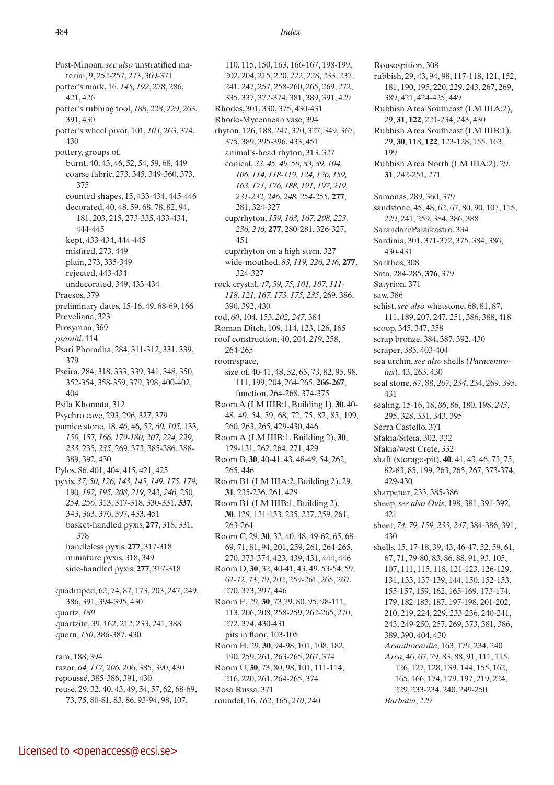Post-Minoan, *see also* unstratified material, 9, 252-257, 273, 369-371 potter's mark, 16, *145, 192*, 278, 286, 421, 426 potter's rubbing tool, *188*, *228*, 229, 263, 391, 430 potter's wheel pivot, 101, *103*, 263, 374, 430 pottery, groups of, burnt, 40, 43, 46, 52, 54, 59, 68, 449 coarse fabric, 273, 345, 349-360, 373, 375 counted shapes, 15, 433-434, 445-446 decorated, 40, 48, 59, 68, 78, 82, 94, 181, 203, 215, 273-335, 433-434, 444-445 kept, 433-434, 444-445 misfired, 273, 449 plain, 273, 335-349 rejected, 443-434 undecorated, 349, 433-434 Praesos, 379 preliminary dates, 15-16, 49, 68-69, 166 Preveliana, 323 Prosymna, 369 *psamiti*, 114 Psari Phoradha, 284, 311-312, 331, 339, 379 Pseira, 284, 318, 333, 339, 341, 348, 350, 352-354, 358-359, 379, 398, 400-402, 404 Psila Khomata, 312 Psychro cave, 293, 296, 327, 379 pumice stone, 18, *46,* 46*, 52, 60, 105,* 133*, 150,* 157*, 166, 179-180, 207, 224, 229, 233,* 235*, 235*, 269, 373, 385-386, 388- 389, 392, 430 Pylos, 86, 401, 404, 415, 421, 425 pyxis, *37, 50, 126, 143, 145, 149, 175, 179,*  190*, 192, 195, 208, 219,* 243*, 246,* 250*, 254, 256*, 313, 317-318, 330-331, **337**, 343, 363, 376, 397, 433, 451 basket-handled pyxis, **277**, 318, 331, 378 handleless pyxis, **277**, 317-318 miniature pyxis, 318, 349 side-handled pyxis, **277**, 317-318 quadruped, 62, 74, 87, 173, 203, 247, 249, 386, 391, 394-395, 430 quartz, *189* quartzite, 39, 162, 212, 233, 241, 388 quern, *150*, 386-387, 430 ram, 188, 394 razor, *64, 117, 206,* 206, 385, 390, 430 repoussé, 385-386, 391, 430 reuse, 29, 32, 40, 43, 49, 54, 57, 62, 68-69, 73, 75, 80-81, 83, 86, 93-94, 98, 107,

110, 115, 150, 163, 166-167, 198-199, 202, 204, 215, 220, 222, 228, 233, 237, 241, 247, 257, 258-260, 265, 269, 272, 335, 337, 372-374, 381, 389, 391, 429 Rhodes, 301, 330, 375, 430-431 Rhodo-Mycenaean vase, 394 rhyton, 126, 188, 247, 320, 327, 349, 367, 375, 389, 395-396, 433, 451 animal's-head rhyton, 313, 327 conical, *33, 45, 49, 50, 83, 89, 104, 106, 114, 118-119, 124, 126, 159, 163, 171, 176, 188, 191, 197, 219, 231-232, 246, 248, 254-255,* **277**, 281, 324-327 cup/rhyton, *159, 163, 167, 208, 223, 236, 246,* **277**, 280-281, 326-327, 451 cup/rhyton on a high stem, 327 wide-mouthed, *83, 119, 226, 246,* **277**, 324-327 rock crystal, *47, 59, 75, 101, 107, 111- 118, 121, 167, 173, 175, 235*, 269, 386, 390, 392, 430 rod, *60*, 104, 153, *202, 247*, 384 Roman Ditch, 109, 114, 123, 126, 165 roof construction, 40, 204, *219*, 258, 264-265 room/space, size of, 40-41, 48, 52, 65, 73, 82, 95, 98, 111, 199, 204, 264-265, **266**-**267**, function, 264-268, 374-375 Room A (LM IIIB:1, Building 1), **30**, 40- 48, 49, 54, 59, 68, 72, 75, 82, 85, 199, 260, 263, 265, 429-430, 446 Room A (LM IIIB:1, Building 2), **30**, 129-131, 262, 264, 271, 429 Room B, **30**, 40-41, 43, 48-49, 54, 262, 265, 446 Room B1 (LM IIIA:2, Building 2), 29, **31**, 235-236, 261, 429 Room B1 (LM IIIB:1, Building 2), **30**, 129, 131-133, 235, 237, 259, 261, 263-264 Room C, 29, **30**, 32, 40, 48, 49-62, 65, 68- 69, 71, 81, 94, 201, 259, 261, 264-265, 270, 373-374, 423, 439, 431, 444, 446 Room D, **30**, 32, 40-41, 43, 49, 53-54, 59, 62-72, 73, 79, 202, 259-261, 265, 267, 270, 373, 397, 446 Room E, 29, **30**, 73,79, 80, 95, 98-111, 113, 206, 208, 258-259, 262-265, 270, 272, 374, 430-431 pits in floor, 103-105 Room H, 29, **30**, 94-98, 101, 108, 182, 190, 259, 261, 263-265, 267, 374 Room U, **30**, 73, 80, 98, 101, 111-114, 216, 220, 261, 264-265, 374 Rosa Russa, 371 roundel, 16, *162*, 165, *210*, 240

Rousospition, 308 rubbish, 29, 43, 94, 98, 117-118, 121, 152, 181, 190, 195, 220, 229, 243, 267, 269, 389, 421, 424-425, 449 Rubbish Area Southeast (LM IIIA:2), 29, **31**, **122**, 221-234, 243, 430 Rubbish Area Southeast (LM IIIB:1), 29, **30**, 118, **122**, 123-128, 155, 163, 199 Rubbish Area North (LM IIIA:2), 29, **31**, 242-251, 271 Samonas, 289, 360, 379 sandstone, 45, 48, 62, 67, 80, 90, 107, 115, 229, 241, 259, 384, 386, 388 Sarandari/Palaikastro, 334 Sardinia, 301, 371-372, 375, 384, 386, 430-431 Sarkhos, 308 Sata, 284-285, **376**, 379 Satyrion, 371 saw, 386 schist, *see also* whetstone, 68, 81, 87, 111, 189, 207, 247, 251, 386, 388, 418 scoop, 345, 347, 358 scrap bronze, 384, 387, 392, 430 scraper, 385, 403-404 sea urchin, *see also* shells (*Paracentrotus*), 43, 263, 430 seal stone, *87*, 88, *207, 234*, 234, 269, 395, 431 sealing, 15-16, 18, *86*, 86, 180, 198, *243*, 295, 328, 331, 343, 395 Serra Castello, 371 Sfakia/Siteia, 302, 332 Sfakia/west Crete, 332 shaft (storage-pit), **40**, 41, 43, 46, 73, 75, 82-83, 85, 199, 263, 265, 267, 373-374, 429-430 sharpener, 233, 385-386 sheep, *see also Ovis*, 198, 381, 391-392, 421 sheet, *74, 79, 159, 233, 247*, 384-386, 391, 430 shells, 15, 17-18, 39, 43, 46-47, 52, 59, 61, 67, 71, 79-80, 83, 86, 88, 91, 93, 105, 107, 111, 115, 118, 121-123, 126-129, 131, 133, 137-139, 144, 150, 152-153, 155-157, 159, 162, 165-169, 173-174, 179, 182-183, 187, 197-198, 201-202, 210, 219, 224, 229, 233-236, 240-241, 243, 249-250, 257, 269, 373, 381, 386, 389, 390, 404, 430 *Acanthocardia*, 163, 179, 234, 240 *Arca*, 46, 67, 79, 83, 88, 91, 111, 115, 126, 127, 128, 139, 144, 155, 162, 165, 166, 174, 179, 197, 219, 224, 229, 233-234, 240, 249-250 *Barbatia*, 229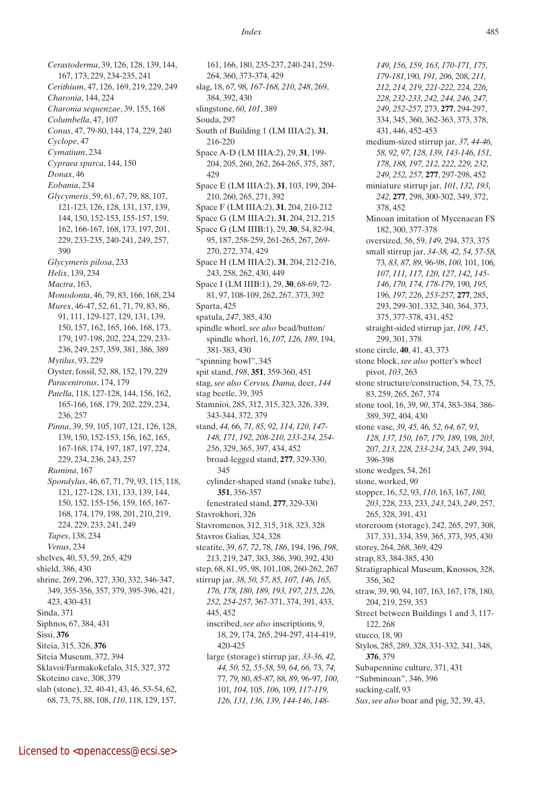*Cerastoderma*, 39, 126, 128, 139, 144, 167, 173, 229, 234-235, 241 *Cerithium*, 47, 126, 169, 219, 229, 249 *Charonia*, 144, 224 *Charonia sequenzae*, 39, 155, 168 *Columbella*, 47, 107 *Conus*, 47, 79-80, 144, 174, 229, 240 *Cyclope*, 47 *Cymatium*, 234 *Cypraea spurca*, 144, 150 *Donax*, 46 *Eobania*, 234 *Glycymeris*, 59, 61, 67, 79, 88, 107, 121-123, 126, 128, 131, 137, 139, 144, 150, 152-153, 155-157, 159, 162, 166-167, 168, 173, 197, 201, 229, 233-235, 240-241, 249, 257, 390 *Glycymeris pilosa*, 233 *Helix*, 139, 234 *Mactra*, 163, *Monodonta*, 46, 79, 83, 166, 168, 234 *Murex*, 46-47, 52, 61, 71, 79, 83, 86, 91, 111, 129-127, 129, 131, 139, 150, 157, 162, 165, 166, 168, 173, 179, 197-198, 202, 224, 229, 233- 236, 249, 257, 359, 381, 386, 389 *Mytilus*, 93, 229 Oyster, fossil, 52, 88, 152, 179, 229 *Paracentrotus*, 174, 179 *Patella*, 118, 127-128, 144, 156, 162, 165-166, 168, 179, 202, 229, 234, 236, 257 *Pinna*, 39, 59, 105, 107, 121, 126, 128, 139, 150, 152-153, 156, 162, 165, 167-168, 174, 197, 187, 197, 224, 229, 234, 236, 243, 257 *Rumina*, 167 *Spondylus*, 46, 67, 71, 79, 93, 115, 118, 121, 127-128, 131, 133, 139, 144, 150, 152, 155-156, 159, 165, 167- 168, 174, 179, 198, 201, 210, 219, 224, 229, 233, 241, 249 *Tapes*, 138, 234 *Venus*, 234 shelves, 40, 53, 59, 265, 429 shield, 386, 430 shrine, 269, 296, 327, 330, 332, 346-347, 349, 355-356, 357, 379, 395-396, 421, 423, 430-431 Sinda, 371 Siphnos, 67, 384, 431 Sissi, **376** Siteia, 315, 326, **376** Siteia Museum, 372, 394 Sklavoi/Farmakokefalo, 315, 327, 372 Skoteino cave, 308, 379 slab (stone), 32, 40-41, 43, 46, 53-54, 62, 68, 73, 75, 88, 108, *110*, 118, 129, 157,

161, 166, 180, 235-237, 240-241, 259- 264, 360, 373-374, 429 slag, 18, *67,* 98*, 167-168, 210, 248*, 269, 384, 392, 430 slingstone, *60, 101*, 389 Souda, 297 South of Building 1 (LM IIIA:2), **31**, 216-220 Space A-D (LM IIIA:2), 29, **31**, 199- 204, 205, 260, 262, 264-265, 375, 387, 429 Space E (LM IIIA:2), **31**, 103, 199, 204- 210, 260, 265, 271, 392 Space F (LM IIIA:2), **31**, 204, 210-212 Space G (LM IIIA:2), **31**, 204, 212, 215 Space G (LM IIIB:1), 29, **30**, 54, 82-94, 95, 187, 258-259, 261-265, 267, 269- 270, 272, 374, 429 Space H (LM IIIA:2), **31**, 204, 212-216, 243, 258, 262, 430, 449 Space I (LM IIIB:1), 29, **30**, 68-69, 72- 81, 97, 108-109, 262, 267, 373, 392 Sparta, 425 spatula, *247*, 385, 430 spindle whorl, *see also* bead/button/ spindle whorl, 16, *107, 126, 189*, 194, 381-383, 430 "spinning bowl", 345 spit stand, *198*, **351**, 359-360, 451 stag, *see also Cervus, Dama,* deer, *144* stag beetle, 39, 395 Stamnioi, 285, 312, 315, 323, 326, 339, 343-344, 372, 379 stand, *44,* 66*, 71, 85, 92, 114, 120, 147- 148, 171, 192, 208-210, 233-234, 254- 256*, 329, 365, 397, 434, 452 broad-legged stand, **277**, 329-330, 345 cylinder-shaped stand (snake tube), **351**, 356-357 fenestrated stand, **277**, 329-330 Stavrokhori, 326 Stavromenos, 312, 315, 318, 323, 328 Stavros Galias, 324, 328 steatite, 39, *67, 72*, 78, *186*, 194, 196, *198*, 213, 219, 247, 383, 386, 390, 392, 430 step, 68, 81, 95, 98, 101,108, 260-262, 267 stirrup jar, *38, 50, 57, 85, 107, 146, 165, 176, 178, 180, 189, 193, 197, 215, 226, 252, 254-257,* 367-371, 374, 391, 433, 445, 452 inscribed, *see also* inscriptions, 9, 18, 29, 174, 265, 294-297, 414-419, 420-425 large (storage) stirrup jar, *33-36, 42, 44, 50,* 52*, 55-58,* 59*, 64, 66,* 73*, 74,*  77*, 79,* 80, *85-87,* 88*, 89,* 96-97*, 100,*  101*, 104,* 105, *106,* 109*, 117-119, 126, 131, 136, 139, 144-146, 148-*

*149, 156, 159, 163, 170-171, 175, 179-181,*190*, 191, 206,* 208*, 211, 212, 214, 219, 221-222,* 224*, 226, 228, 232-233, 242, 244, 246, 247, 249, 252-257,* 273, **277**, 294-297, 334, 345, 360, 362-363, 373, 378, 431, 446, 452-453 medium-sized stirrup jar, *37, 44-46, 58, 92, 97, 128, 139, 143-146, 151, 178, 188, 197, 212, 222, 229, 232, 249, 252, 257,* **277**, 297-298, 452 miniature stirrup jar, *101, 132, 193, 242,* **277**, 298, 300-302, 349, 372, 378, 452 Minoan imitation of Mycenaean FS 182, 300, 377-378 oversized, *56*, 59, *149,* 294, 373, 375 small stirrup jar, *34-38, 42, 54, 57-58,*  73*, 83, 87, 89,* 96-98, *100,* 101, 106*, 107, 111, 117, 120, 127, 142, 145- 146, 170, 174, 178-179,* 190*, 195,*  196*, 197, 226, 253-257,* **277**, 285, 293, 299-301, 332, 340, 364, 373, 375, 377-378, 431, 452 straight-sided stirrup jar, *109, 145*, 299, 301, 378 stone circle, **40**, 41, 43, 373 stone block, *see also* potter's wheel pivot, *103*, 263 stone structure/construction, 54, 73, 75, 83, 259, 265, 267, 374 stone tool, 16, 39, *90*, 374, 383-384, 386- 389, 392, 404, 430 stone vase, *39, 45,* 46*, 52, 64, 67, 93, 128, 137, 150, 167, 179, 189,* 198*, 203,*  207*, 213, 228, 233-234,* 243*, 249*, 394, 396-398 stone wedges, 54, 261 stone, worked, *90* stopper, 16, *52*, 93, *110*, 163, 167, *180, 203*, 228, 233, 233, *243*, 243, *249*, 257, 265, 328, 391, 431 storeroom (storage), 242, 265, 297, 308, 317, 331, 334, 359, 365, 373, 395, 430 storey, 264, 268, 369, 429 strap, 83, 384-385, 430 Stratigraphical Museum, Knossos, 328, 356, 362 straw, 39, 90, 94, 107, 163, 167, 178, 180, 204, 219, 259, 353 Street between Buildings 1 and 3, 117- 122, 268 stucco, 18, 90 Stylos, 285, 289, 328, 331-332, 341, 348, **376**, 379 Subapennine culture, 371, 431 "Subminoan", 346, 396 sucking-calf, 93 *Sus*, *see also* boar and pig, 32, 39, 43,